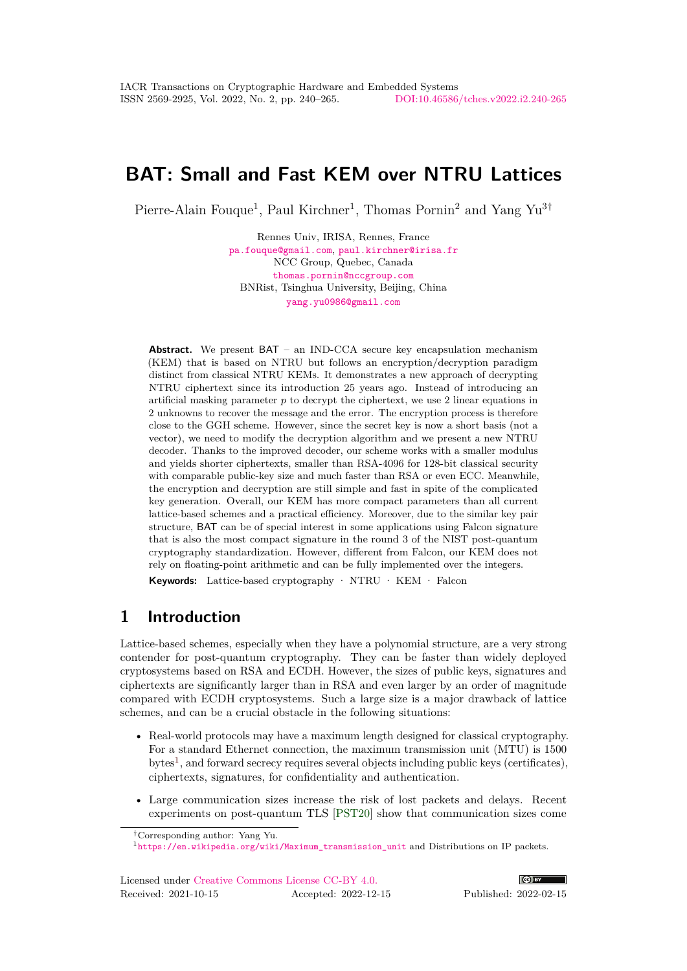# **BAT: Small and Fast KEM over NTRU Lattices**

Pierre-Alain Fouque<sup>1</sup>, Paul Kirchner<sup>1</sup>, Thomas Pornin<sup>2</sup> and Yang Yu<sup>3†</sup>

Rennes Univ, IRISA, Rennes, France [pa.fouque@gmail.com](mailto:pa.fouque@gmail.com), [paul.kirchner@irisa.fr](mailto:paul.kirchner@irisa.fr) NCC Group, Quebec, Canada [thomas.pornin@nccgroup.com](mailto:thomas.pornin@nccgroup.com) BNRist, Tsinghua University, Beijing, China [yang.yu0986@gmail.com](mailto:yang.yu0986@gmail.com)

**Abstract.** We present BAT – an IND-CCA secure key encapsulation mechanism (KEM) that is based on NTRU but follows an encryption/decryption paradigm distinct from classical NTRU KEMs. It demonstrates a new approach of decrypting NTRU ciphertext since its introduction 25 years ago. Instead of introducing an artificial masking parameter *p* to decrypt the ciphertext, we use 2 linear equations in 2 unknowns to recover the message and the error. The encryption process is therefore close to the GGH scheme. However, since the secret key is now a short basis (not a vector), we need to modify the decryption algorithm and we present a new NTRU decoder. Thanks to the improved decoder, our scheme works with a smaller modulus and yields shorter ciphertexts, smaller than RSA-4096 for 128-bit classical security with comparable public-key size and much faster than RSA or even ECC. Meanwhile, the encryption and decryption are still simple and fast in spite of the complicated key generation. Overall, our KEM has more compact parameters than all current lattice-based schemes and a practical efficiency. Moreover, due to the similar key pair structure, BAT can be of special interest in some applications using Falcon signature that is also the most compact signature in the round 3 of the NIST post-quantum cryptography standardization. However, different from Falcon, our KEM does not rely on floating-point arithmetic and can be fully implemented over the integers.

**Keywords:** Lattice-based cryptography · NTRU · KEM · Falcon

# **1 Introduction**

Lattice-based schemes, especially when they have a polynomial structure, are a very strong contender for post-quantum cryptography. They can be faster than widely deployed cryptosystems based on RSA and ECDH. However, the sizes of public keys, signatures and ciphertexts are significantly larger than in RSA and even larger by an order of magnitude compared with ECDH cryptosystems. Such a large size is a major drawback of lattice schemes, and can be a crucial obstacle in the following situations:

- Real-world protocols may have a maximum length designed for classical cryptography. For a standard Ethernet connection, the maximum transmission unit (MTU) is 1500 bytes<sup>[1](#page-0-0)</sup>, and forward secrecy requires several objects including public keys (certificates), ciphertexts, signatures, for confidentiality and authentication.
- Large communication sizes increase the risk of lost packets and delays. Recent experiments on post-quantum TLS [\[PST20\]](#page-23-0) show that communication sizes come



<sup>†</sup>Corresponding author: Yang Yu.

<span id="page-0-0"></span><sup>1</sup>[https://en.wikipedia.org/wiki/Maximum\\_transmission\\_unit](https://en.wikipedia.org/wiki/Maximum_transmission_unit) and Distributions on IP packets.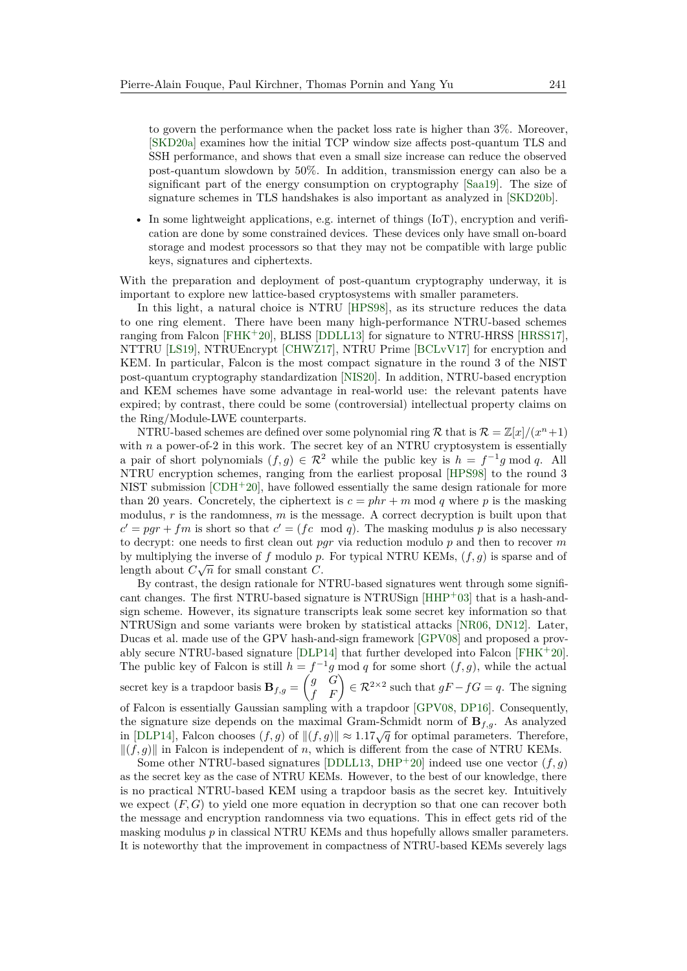to govern the performance when the packet loss rate is higher than 3%. Moreover, [\[SKD20a\]](#page-23-1) examines how the initial TCP window size affects post-quantum TLS and SSH performance, and shows that even a small size increase can reduce the observed post-quantum slowdown by 50%. In addition, transmission energy can also be a significant part of the energy consumption on cryptography [\[Saa19\]](#page-23-2). The size of signature schemes in TLS handshakes is also important as analyzed in [\[SKD20b\]](#page-23-3).

• In some lightweight applications, e.g. internet of things (IoT), encryption and verification are done by some constrained devices. These devices only have small on-board storage and modest processors so that they may not be compatible with large public keys, signatures and ciphertexts.

With the preparation and deployment of post-quantum cryptography underway, it is important to explore new lattice-based cryptosystems with smaller parameters.

In this light, a natural choice is NTRU [\[HPS98\]](#page-22-0), as its structure reduces the data to one ring element. There have been many high-performance NTRU-based schemes ranging from Falcon  $[FHK^+20]$  $[FHK^+20]$ , BLISS  $[DDLL13]$  for signature to NTRU-HRSS  $[HRSS17]$ , NTTRU [\[LS19\]](#page-23-4), NTRUEncrypt [\[CHWZ17\]](#page-21-1), NTRU Prime [\[BCLvV17\]](#page-20-0) for encryption and KEM. In particular, Falcon is the most compact signature in the round 3 of the NIST post-quantum cryptography standardization [\[NIS20\]](#page-23-5). In addition, NTRU-based encryption and KEM schemes have some advantage in real-world use: the relevant patents have expired; by contrast, there could be some (controversial) intellectual property claims on the Ring/Module-LWE counterparts.

NTRU-based schemes are defined over some polynomial ring R that is  $\mathcal{R} = \mathbb{Z}[x]/(x^n+1)$ with *n* a power-of-2 in this work. The secret key of an NTRU cryptosystem is essentially a pair of short polynomials  $(f, g) \in \mathbb{R}^2$  while the public key is  $h = f^{-1}g \mod q$ . All NTRU encryption schemes, ranging from the earliest proposal [\[HPS98\]](#page-22-0) to the round 3 NIST submission  $[CDH^+20]$  $[CDH^+20]$ , have followed essentially the same design rationale for more than 20 years. Concretely, the ciphertext is  $c = phr + m \mod q$  where p is the masking modulus, *r* is the randomness, *m* is the message. A correct decryption is built upon that  $c' = pgr + fm$  is short so that  $c' = (fc \mod q)$ . The masking modulus p is also necessary to decrypt: one needs to first clean out *pgr* via reduction modulo *p* and then to recover *m* by multiplying the inverse of *f* modulo *p*. For typical NTRU KEMs,  $(f, g)$  is sparse and of length about  $C\sqrt{n}$  for small constant *C*.

By contrast, the design rationale for NTRU-based signatures went through some significant changes. The first NTRU-based signature is NTRUSign  $[HHP+03]$  $[HHP+03]$  that is a hash-andsign scheme. However, its signature transcripts leak some secret key information so that NTRUSign and some variants were broken by statistical attacks [\[NR06,](#page-23-6) [DN12\]](#page-21-2). Later, Ducas et al. made use of the GPV hash-and-sign framework [\[GPV08\]](#page-22-4) and proposed a provably secure NTRU-based signature [\[DLP14\]](#page-21-3) that further developed into Falcon [\[FHK](#page-22-1)<sup>+</sup>20]. The public key of Falcon is still  $h = f^{-1}g \mod q$  for some short  $(f, g)$ , while the actual secret key is a trapdoor basis  $\mathbf{B}_{f,g} = \begin{pmatrix} g & G \\ f & F \end{pmatrix} \in \mathcal{R}^{2 \times 2}$  such that  $gF - fG = q$ . The signing of Falcon is essentially Gaussian sampling with a trapdoor [\[GPV08,](#page-22-4) [DP16\]](#page-21-4). Consequently, the signature size depends on the maximal Gram-Schmidt norm of  $\mathbf{B}_{f,g}$ . As analyzed in [\[DLP14\]](#page-21-3), Falcon chooses  $(f, g)$  of  $||(f, g)|| \approx 1.17\sqrt{q}$  for optimal parameters. Therefore,  $\|(f, g)\|$  in Falcon is independent of *n*, which is different from the case of NTRU KEMs.

Some other NTRU-based signatures [\[DDLL13,](#page-21-0) [DHP](#page-21-5)<sup>+</sup>20] indeed use one vector  $(f, g)$ as the secret key as the case of NTRU KEMs. However, to the best of our knowledge, there is no practical NTRU-based KEM using a trapdoor basis as the secret key. Intuitively we expect (*F, G*) to yield one more equation in decryption so that one can recover both the message and encryption randomness via two equations. This in effect gets rid of the masking modulus  $p$  in classical NTRU KEMs and thus hopefully allows smaller parameters. It is noteworthy that the improvement in compactness of NTRU-based KEMs severely lags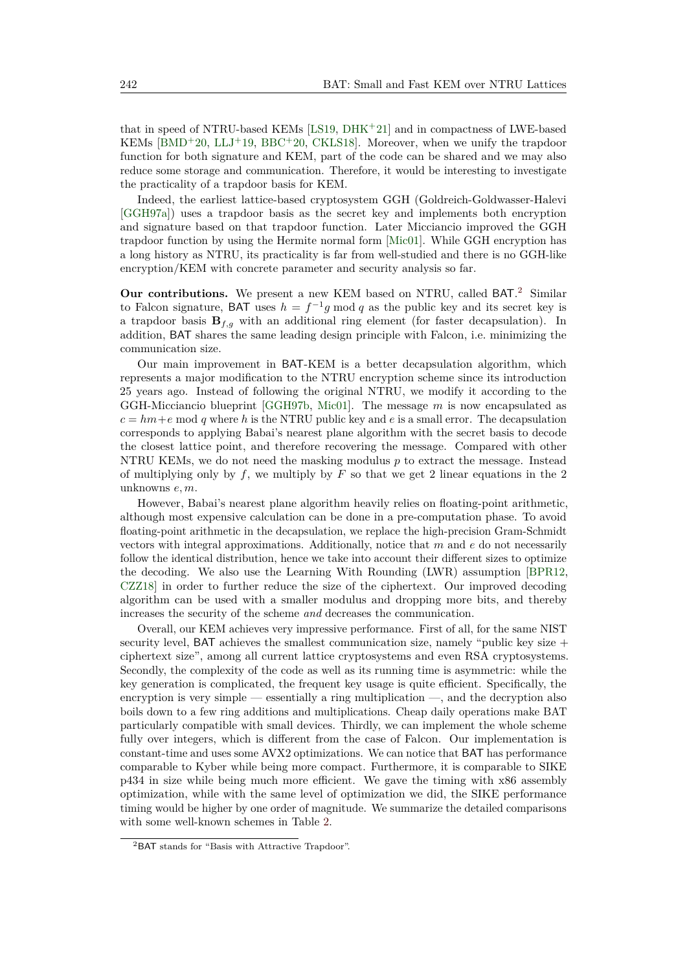that in speed of NTRU-based KEMs [\[LS19,](#page-23-4) [DHK](#page-21-6)<sup>+</sup>21] and in compactness of LWE-based KEMs [\[BMD](#page-20-2)<sup>+</sup>20, [LLJ](#page-22-5)<sup>+</sup>19, [BBC](#page-20-3)<sup>+</sup>20, [CKLS18\]](#page-21-7). Moreover, when we unify the trapdoor function for both signature and KEM, part of the code can be shared and we may also reduce some storage and communication. Therefore, it would be interesting to investigate the practicality of a trapdoor basis for KEM.

Indeed, the earliest lattice-based cryptosystem GGH (Goldreich-Goldwasser-Halevi [\[GGH97a\]](#page-22-6)) uses a trapdoor basis as the secret key and implements both encryption and signature based on that trapdoor function. Later Micciancio improved the GGH trapdoor function by using the Hermite normal form [\[Mic01\]](#page-23-7). While GGH encryption has a long history as NTRU, its practicality is far from well-studied and there is no GGH-like encryption/KEM with concrete parameter and security analysis so far.

**Our contributions.** We present a new KEM based on NTRU, called BAT.<sup>[2](#page-2-0)</sup> Similar to Falcon signature, BAT uses  $h = f^{-1}g \mod q$  as the public key and its secret key is a trapdoor basis  $\mathbf{B}_{f,g}$  with an additional ring element (for faster decapsulation). In addition, BAT shares the same leading design principle with Falcon, i.e. minimizing the communication size.

Our main improvement in BAT-KEM is a better decapsulation algorithm, which represents a major modification to the NTRU encryption scheme since its introduction 25 years ago. Instead of following the original NTRU, we modify it according to the GGH-Micciancio blueprint [\[GGH97b,](#page-22-7) [Mic01\]](#page-23-7). The message *m* is now encapsulated as  $c = hm + e \text{ mod } q$  where *h* is the NTRU public key and *e* is a small error. The decapsulation corresponds to applying Babai's nearest plane algorithm with the secret basis to decode the closest lattice point, and therefore recovering the message. Compared with other NTRU KEMs, we do not need the masking modulus *p* to extract the message. Instead of multiplying only by *f*, we multiply by *F* so that we get 2 linear equations in the 2 unknowns *e, m*.

However, Babai's nearest plane algorithm heavily relies on floating-point arithmetic, although most expensive calculation can be done in a pre-computation phase. To avoid floating-point arithmetic in the decapsulation, we replace the high-precision Gram-Schmidt vectors with integral approximations. Additionally, notice that *m* and *e* do not necessarily follow the identical distribution, hence we take into account their different sizes to optimize the decoding. We also use the Learning With Rounding (LWR) assumption [\[BPR12,](#page-20-4) [CZZ18\]](#page-21-8) in order to further reduce the size of the ciphertext. Our improved decoding algorithm can be used with a smaller modulus and dropping more bits, and thereby increases the security of the scheme *and* decreases the communication.

Overall, our KEM achieves very impressive performance. First of all, for the same NIST security level, BAT achieves the smallest communication size, namely "public key size  $+$ ciphertext size", among all current lattice cryptosystems and even RSA cryptosystems. Secondly, the complexity of the code as well as its running time is asymmetric: while the key generation is complicated, the frequent key usage is quite efficient. Specifically, the encryption is very simple — essentially a ring multiplication —, and the decryption also boils down to a few ring additions and multiplications. Cheap daily operations make BAT particularly compatible with small devices. Thirdly, we can implement the whole scheme fully over integers, which is different from the case of Falcon. Our implementation is constant-time and uses some AVX2 optimizations. We can notice that BAT has performance comparable to Kyber while being more compact. Furthermore, it is comparable to SIKE p434 in size while being much more efficient. We gave the timing with x86 assembly optimization, while with the same level of optimization we did, the SIKE performance timing would be higher by one order of magnitude. We summarize the detailed comparisons with some well-known schemes in Table [2.](#page-4-0)

<span id="page-2-0"></span><sup>2</sup>BAT stands for "Basis with Attractive Trapdoor".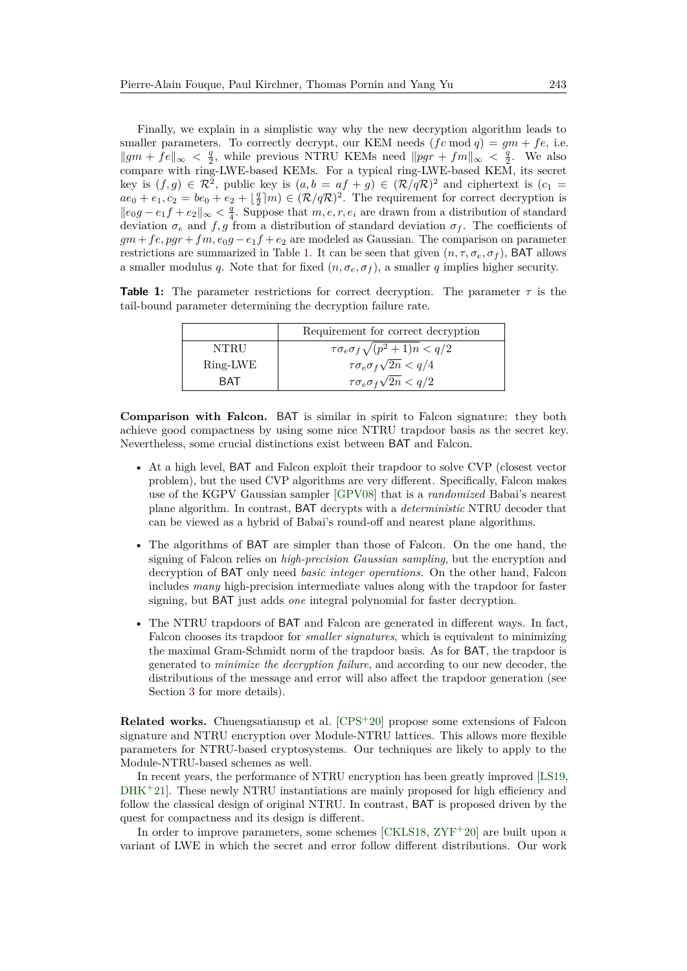Finally, we explain in a simplistic way why the new decryption algorithm leads to smaller parameters. To correctly decrypt, our KEM needs  $(fc \mod q) = gm + fe$ , i.e.  $||gm + fe||_{\infty} < \frac{q}{2}$ , while previous NTRU KEMs need  $||pgr + fm||_{\infty} < \frac{q}{2}$ . We also compare with ring-LWE-based KEMs. For a typical ring-LWE-based KEM, its secret key is  $(f, g) \in \mathbb{R}^2$ , public key is  $(a, b = af + g) \in (\mathbb{R}/q\mathbb{R})^2$  and ciphertext is  $(c_1 =$  $ae_0 + e_1, c_2 = be_0 + e_2 + \lfloor \frac{q}{2} \rfloor m \in (\mathcal{R}/q\mathcal{R})^2$ . The requirement for correct decryption is  $||e_0g - e_1f + e_2||_{\infty} < \frac{q}{4}$ . Suppose that *m, e, r, e<sub>i</sub>* are drawn from a distribution of standard deviation  $\sigma_e$  and  $f, g$  from a distribution of standard deviation  $\sigma_f$ . The coefficients of  $gm + fe, pgr + fm, e_0g - e_1f + e_2$  are modeled as Gaussian. The comparison on parameter restrictions are summarized in Table [1.](#page-3-0) It can be seen that given  $(n, \tau, \sigma_e, \sigma_f)$ , BAT allows a smaller modulus *q*. Note that for fixed  $(n, \sigma_e, \sigma_f)$ , a smaller *q* implies higher security.

<span id="page-3-0"></span>**Table 1:** The parameter restrictions for correct decryption. The parameter  $\tau$  is the tail-bound parameter determining the decryption failure rate.

|          | Requirement for correct decryption             |
|----------|------------------------------------------------|
| NTRU     | $\tau \sigma_e \sigma_f \sqrt{(p^2+1)n} < q/2$ |
| Ring-LWE | $\tau \sigma_e \sigma_f \sqrt{2n} < q/4$       |
| RAT      | $\tau \sigma_e \sigma_f \sqrt{2n} < q/2$       |

**Comparison with Falcon.** BAT is similar in spirit to Falcon signature: they both achieve good compactness by using some nice NTRU trapdoor basis as the secret key. Nevertheless, some crucial distinctions exist between BAT and Falcon.

- At a high level, BAT and Falcon exploit their trapdoor to solve CVP (closest vector problem), but the used CVP algorithms are very different. Specifically, Falcon makes use of the KGPV Gaussian sampler [\[GPV08\]](#page-22-4) that is a *randomized* Babai's nearest plane algorithm. In contrast, BAT decrypts with a *deterministic* NTRU decoder that can be viewed as a hybrid of Babai's round-off and nearest plane algorithms.
- The algorithms of BAT are simpler than those of Falcon. On the one hand, the signing of Falcon relies on *high-precision Gaussian sampling*, but the encryption and decryption of BAT only need *basic integer operations*. On the other hand, Falcon includes *many* high-precision intermediate values along with the trapdoor for faster signing, but BAT just adds *one* integral polynomial for faster decryption.
- The NTRU trapdoors of BAT and Falcon are generated in different ways. In fact, Falcon chooses its trapdoor for *smaller signatures*, which is equivalent to minimizing the maximal Gram-Schmidt norm of the trapdoor basis. As for BAT, the trapdoor is generated to *minimize the decryption failure*, and according to our new decoder, the distributions of the message and error will also affect the trapdoor generation (see Section [3](#page-6-0) for more details).

**Related works.** Chuengsatiansup et al. [\[CPS](#page-21-9)<sup>+20]</sup> propose some extensions of Falcon signature and NTRU encryption over Module-NTRU lattices. This allows more flexible parameters for NTRU-based cryptosystems. Our techniques are likely to apply to the Module-NTRU-based schemes as well.

In recent years, the performance of NTRU encryption has been greatly improved [\[LS19,](#page-23-4)  $DHK<sup>+</sup>21$  $DHK<sup>+</sup>21$ . These newly NTRU instantiations are mainly proposed for high efficiency and follow the classical design of original NTRU. In contrast, BAT is proposed driven by the quest for compactness and its design is different.

In order to improve parameters, some schemes [\[CKLS18,](#page-21-7) [ZYF](#page-24-0)<sup>+</sup>20] are built upon a variant of LWE in which the secret and error follow different distributions. Our work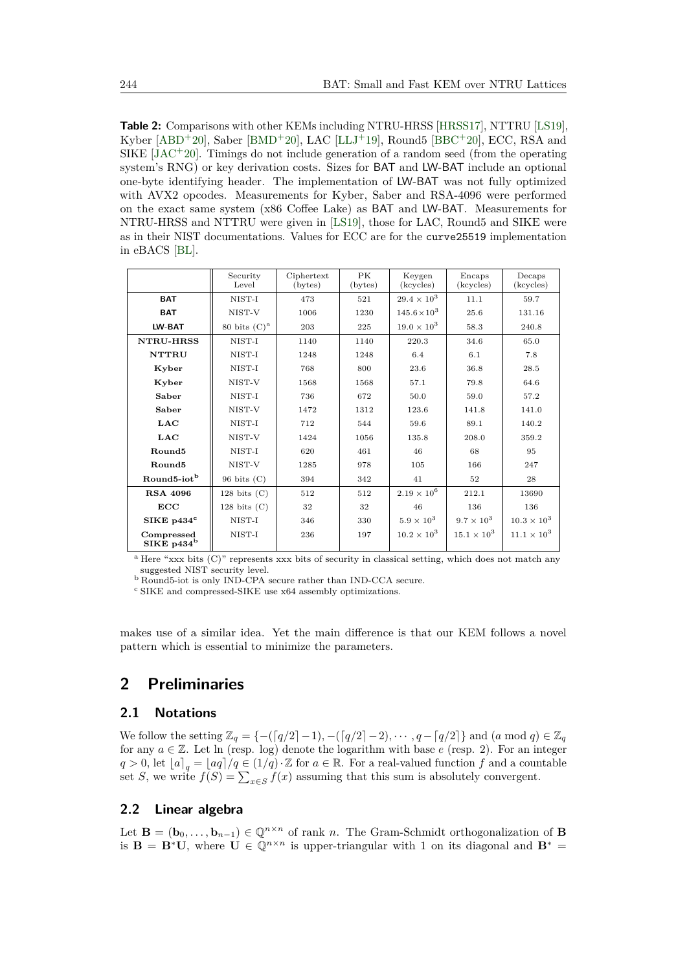<span id="page-4-0"></span>**Table 2:** Comparisons with other KEMs including NTRU-HRSS [\[HRSS17\]](#page-22-2), NTTRU [\[LS19\]](#page-23-4), Kyber [\[ABD](#page-20-5)<sup>+</sup>20], Saber [\[BMD](#page-20-2)<sup>+</sup>20], LAC [\[LLJ](#page-22-5)<sup>+</sup>19], Round5 [\[BBC](#page-20-3)<sup>+</sup>20], ECC, RSA and SIKE  $[*JAC*<sup>+</sup>20]$ . Timings do not include generation of a random seed (from the operating system's RNG) or key derivation costs. Sizes for BAT and LW-BAT include an optional one-byte identifying header. The implementation of LW-BAT was not fully optimized with AVX2 opcodes. Measurements for Kyber, Saber and RSA-4096 were performed on the exact same system (x86 Coffee Lake) as BAT and LW-BAT. Measurements for NTRU-HRSS and NTTRU were given in [\[LS19\]](#page-23-4), those for LAC, Round5 and SIKE were as in their NIST documentations. Values for ECC are for the curve25519 implementation in eBACS [\[BL\]](#page-20-6).

|                                      | Security<br>Level | Ciphertext<br>$(\text{bytes})$ | <b>PK</b><br>(bytes) | Keygen<br>(kcycles)   | Encaps<br>(kcycles)  | Decaps<br>(kcycles)  |
|--------------------------------------|-------------------|--------------------------------|----------------------|-----------------------|----------------------|----------------------|
| <b>BAT</b>                           | NIST-I            | 473                            | 521                  | $29.4 \times 10^{3}$  | 11.1                 | 59.7                 |
| <b>BAT</b>                           | NIST-V            | 1006                           | 1230                 | $145.6 \times 10^{3}$ | 25.6                 | 131.16               |
| LW-BAT                               | 80 bits $(C)^a$   | 203                            | 225                  | $19.0 \times 10^{3}$  | 58.3                 | 240.8                |
| <b>NTRU-HRSS</b>                     | NIST-I            | 1140                           | 1140                 | 220.3                 | 34.6                 | 65.0                 |
| <b>NTTRU</b>                         | NIST-I            | 1248                           | 1248                 | 6.4                   | 6.1                  | 7.8                  |
| Kyber                                | NIST-I            | 768                            | 800                  | 23.6                  | 36.8                 | 28.5                 |
| Kyber                                | NIST-V            | 1568                           | 1568                 | 57.1                  | 79.8                 | 64.6                 |
| Saber                                | NIST-I            | 736                            | 672                  | 50.0                  | 59.0                 | 57.2                 |
| Saber                                | NIST-V            | 1472                           | 1312                 | 123.6                 | 141.8                | 141.0                |
| LAC                                  | NIST-I            | 712                            | 544                  | 59.6                  | 89.1                 | 140.2                |
| <b>LAC</b>                           | NIST-V            | 1424                           | 1056                 | 135.8                 | 208.0                | 359.2                |
| Round <sub>5</sub>                   | NIST-I            | 620                            | 461                  | 46                    | 68                   | 95                   |
| Round <sub>5</sub>                   | NIST-V            | 1285                           | 978                  | 105                   | 166                  | 247                  |
| Round <sub>5</sub> -iot <sup>b</sup> | $96$ bits $(C)$   | 394                            | 342                  | 41                    | 52                   | 28                   |
| <b>RSA 4096</b>                      | 128 bits $(C)$    | 512                            | 512                  | $2.19 \times 10^{6}$  | 212.1                | 13690                |
| ECC                                  | 128 bits $(C)$    | 32                             | 32                   | 46                    | 136                  | 136                  |
| $SIKE$ p434 $^{\rm c}$               | NIST-I            | 346                            | 330                  | $5.9 \times 10^{3}$   | $9.7 \times 10^3$    | $10.3 \times 10^{3}$ |
| Compressed<br>SIKE $p434^b$          | NIST-I            | 236                            | 197                  | $10.2 \times 10^{3}$  | $15.1 \times 10^{3}$ | $11.1 \times 10^{3}$ |

<sup>a</sup> Here "xxx bits (C)" represents xxx bits of security in classical setting, which does not match any suggested NIST security level.

<sup>b</sup> Round5-iot is only IND-CPA secure rather than IND-CCA secure.

<sup>c</sup> SIKE and compressed-SIKE use x64 assembly optimizations.

makes use of a similar idea. Yet the main difference is that our KEM follows a novel pattern which is essential to minimize the parameters.

# **2 Preliminaries**

# **2.1 Notations**

We follow the setting  $\mathbb{Z}_q = \{-(\lceil q/2 \rceil - 1), -(\lceil q/2 \rceil - 2), \cdots, q - \lceil q/2 \rceil \}$  and  $(a \mod q) \in \mathbb{Z}_q$ for any  $a \in \mathbb{Z}$ . Let ln (resp. log) denote the logarithm with base  $e$  (resp. 2). For an integer  $q > 0$ , let  $[a]_q = [aq]/q \in (1/q) \cdot \mathbb{Z}$  for  $a \in \mathbb{R}$ . For a real-valued function  $f$  and a countable set *S*, we write  $f(S) = \sum_{x \in S} f(x)$  assuming that this sum is absolutely convergent.

### **2.2 Linear algebra**

Let **B** =  $(\mathbf{b}_0, \ldots, \mathbf{b}_{n-1}) \in \mathbb{Q}^{n \times n}$  of rank *n*. The Gram-Schmidt orthogonalization of **B** is **B** =  $\mathbf{B}^* \mathbf{U}$ , where  $\mathbf{U} \in \mathbb{Q}^{n \times n}$  is upper-triangular with 1 on its diagonal and  $\mathbf{B}^* =$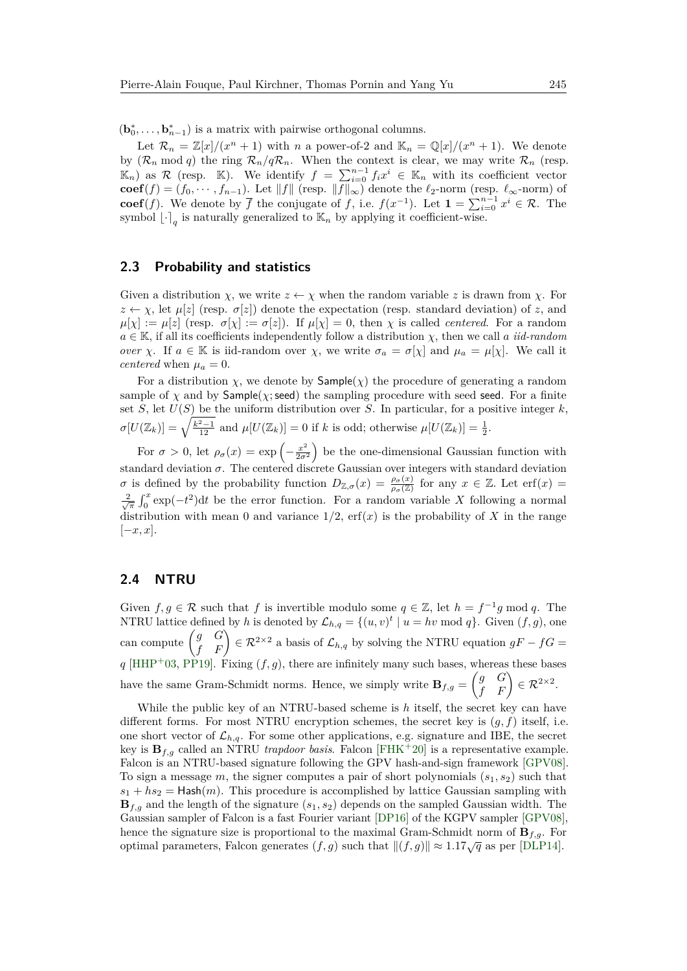$(\mathbf{b}_0^*, \ldots, \mathbf{b}_{n-1}^*)$  is a matrix with pairwise orthogonal columns.

Let  $\mathcal{R}_n = \mathbb{Z}[x]/(x^n + 1)$  with *n* a power-of-2 and  $\mathbb{K}_n = \mathbb{Q}[x]/(x^n + 1)$ . We denote by  $(\mathcal{R}_n \mod q)$  the ring  $\mathcal{R}_n/q\mathcal{R}_n$ . When the context is clear, we may write  $\mathcal{R}_n$  (resp.  $(\mathbb{K}_n)$  as R (resp. K). We identify  $f = \sum_{i=0}^{n-1} f_i x^i \in \mathbb{K}_n$  with its coefficient vector **coef**(*f*) = (*f*<sub>0</sub>, · · · *, f*<sub>*n*−1</sub>). Let  $||f||$  (resp.  $||f||_{\infty}$ ) denote the  $\ell_2$ -norm (resp.  $\ell_{\infty}$ -norm) of **coef**(*f*). We denote by  $\overline{f}$  the conjugate of *f*, i.e.  $f(x^{-1})$ . Let  $\mathbf{1} = \sum_{i=0}^{n-1} x^i \in \mathcal{R}$ . The symbol  $\lfloor \cdot \rceil_q$  is naturally generalized to  $\mathbb{K}_n$  by applying it coefficient-wise.

### **2.3 Probability and statistics**

Given a distribution  $\chi$ , we write  $z \leftarrow \chi$  when the random variable z is drawn from  $\chi$ . For  $z \leftarrow \chi$ , let  $\mu[z]$  (resp.  $\sigma[z]$ ) denote the expectation (resp. standard deviation) of *z*, and  $\mu[\chi] := \mu[z]$  (resp.  $\sigma[\chi] := \sigma[z]$ ). If  $\mu[\chi] = 0$ , then  $\chi$  is called *centered*. For a random *a* ∈ K, if all its coefficients independently follow a distribution *χ*, then we call *a iid-random over χ*. If  $a \in \mathbb{K}$  is iid-random over *χ*, we write  $\sigma_a = \sigma[\chi]$  and  $\mu_a = \mu[\chi]$ . We call it *centered* when  $\mu_a = 0$ .

For a distribution  $\chi$ , we denote by  $\textsf{Sample}(\chi)$  the procedure of generating a random sample of  $\chi$  and by Sample( $\chi$ ; seed) the sampling procedure with seed seed. For a finite set *S*, let  $U(S)$  be the uniform distribution over *S*. In particular, for a positive integer *k*,  $\sigma[U(\mathbb{Z}_k)] = \sqrt{\frac{k^2-1}{12}}$  and  $\mu[U(\mathbb{Z}_k)] = 0$  if *k* is odd; otherwise  $\mu[U(\mathbb{Z}_k)] = \frac{1}{2}$ .

For  $\sigma > 0$ , let  $\rho_{\sigma}(x) = \exp \left(-\frac{x^2}{2\sigma^2}\right)$  $\frac{x^2}{2\sigma^2}$  be the one-dimensional Gaussian function with standard deviation  $\sigma$ . The centered discrete Gaussian over integers with standard deviation *σ* is defined by the probability function  $D_{\mathbb{Z},\sigma}(x) = \frac{\rho_{\sigma}(x)}{\rho_{\sigma}(\mathbb{Z})}$  for any  $x \in \mathbb{Z}$ . Let erf(*x*) =  $\frac{2}{\sqrt{\pi}} \int_0^x \exp(-t^2) dt$  be the error function. For a random variable *X* following a normal distribution with mean 0 and variance  $1/2$ , erf(x) is the probability of X in the range [−*x, x*].

## **2.4 NTRU**

Given  $f, g \in \mathcal{R}$  such that  $f$  is invertible modulo some  $q \in \mathbb{Z}$ , let  $h = f^{-1}g \mod q$ . The NTRU lattice defined by *h* is denoted by  $\mathcal{L}_{h,q} = \{(u, v)^t | u = hv \mod q\}$ . Given  $(f, g)$ , one can compute  $\begin{pmatrix} g & G \\ f & F \end{pmatrix} \in \mathcal{R}^{2 \times 2}$  a basis of  $\mathcal{L}_{h,q}$  by solving the NTRU equation  $gF - fG =$  $q$  [\[HHP](#page-22-3)<sup>+</sup>03, [PP19\]](#page-23-8). Fixing  $(f, g)$ , there are infinitely many such bases, whereas these bases have the same Gram-Schmidt norms. Hence, we simply write  $\mathbf{B}_{f,g} = \begin{pmatrix} g & G \\ f & F \end{pmatrix} \in \mathcal{R}^{2 \times 2}$ .

While the public key of an NTRU-based scheme is *h* itself, the secret key can have different forms. For most NTRU encryption schemes, the secret key is (*g, f*) itself, i.e. one short vector of  $\mathcal{L}_{h,q}$ . For some other applications, e.g. signature and IBE, the secret key is  $\mathbf{B}_{f,g}$  called an NTRU *trapdoor basis*. Falcon [\[FHK](#page-22-1)<sup>+</sup>20] is a representative example. Falcon is an NTRU-based signature following the GPV hash-and-sign framework [\[GPV08\]](#page-22-4). To sign a message *m*, the signer computes a pair of short polynomials (*s*1*, s*2) such that  $s_1 + h s_2 =$  Hash $(m)$ . This procedure is accomplished by lattice Gaussian sampling with **B***f,g* and the length of the signature (*s*1*, s*2) depends on the sampled Gaussian width. The Gaussian sampler of Falcon is a fast Fourier variant [\[DP16\]](#page-21-4) of the KGPV sampler [\[GPV08\]](#page-22-4), hence the signature size is proportional to the maximal Gram-Schmidt norm of **B***f,g*. For optimal parameters, Falcon generates  $(f, g)$  such that  $||(f, g)|| \approx 1.17\sqrt{q}$  as per [\[DLP14\]](#page-21-3).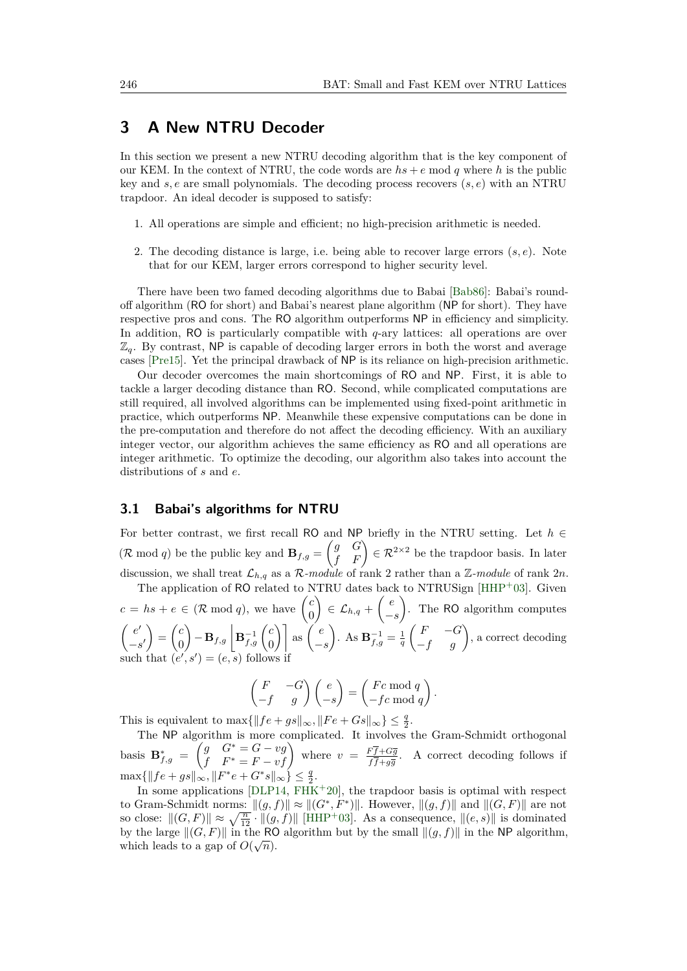# <span id="page-6-0"></span>**3 A New NTRU Decoder**

In this section we present a new NTRU decoding algorithm that is the key component of our KEM. In the context of NTRU, the code words are  $hs + e \text{ mod } q$  where h is the public key and *s, e* are small polynomials. The decoding process recovers (*s, e*) with an NTRU trapdoor. An ideal decoder is supposed to satisfy:

- 1. All operations are simple and efficient; no high-precision arithmetic is needed.
- 2. The decoding distance is large, i.e. being able to recover large errors (*s, e*). Note that for our KEM, larger errors correspond to higher security level.

There have been two famed decoding algorithms due to Babai [\[Bab86\]](#page-20-7): Babai's roundoff algorithm (RO for short) and Babai's nearest plane algorithm (NP for short). They have respective pros and cons. The RO algorithm outperforms NP in efficiency and simplicity. In addition, RO is particularly compatible with *q*-ary lattices: all operations are over  $\mathbb{Z}_q$ . By contrast, NP is capable of decoding larger errors in both the worst and average cases [\[Pre15\]](#page-23-9). Yet the principal drawback of NP is its reliance on high-precision arithmetic.

Our decoder overcomes the main shortcomings of RO and NP. First, it is able to tackle a larger decoding distance than RO. Second, while complicated computations are still required, all involved algorithms can be implemented using fixed-point arithmetic in practice, which outperforms NP. Meanwhile these expensive computations can be done in the pre-computation and therefore do not affect the decoding efficiency. With an auxiliary integer vector, our algorithm achieves the same efficiency as RO and all operations are integer arithmetic. To optimize the decoding, our algorithm also takes into account the distributions of *s* and *e*.

#### <span id="page-6-1"></span>**3.1 Babai's algorithms for NTRU**

For better contrast, we first recall RO and NP briefly in the NTRU setting. Let *h* ∈  $(\mathcal{R} \mod q)$  be the public key and  $\mathbf{B}_{f,g} = \begin{pmatrix} g & G \\ f & F \end{pmatrix} \in \mathcal{R}^{2 \times 2}$  be the trapdoor basis. In later discussion, we shall treat  $\mathcal{L}_{h,q}$  as a  $\mathcal{R}\text{-module}$  of rank 2 rather than a  $\mathbb{Z}\text{-module}$  of rank  $2n$ .

The application of RO related to NTRU dates back to NTRUSign [\[HHP](#page-22-3)+03]. Given  $c = hs + e \in (\mathcal{R} \mod q)$ , we have  $\begin{pmatrix} c \\ 0 \end{pmatrix}$ 0  $\Big) \in \mathcal{L}_{h,q} + \Big( \begin{array}{c} e \end{array} \Big)$ −*s* . The RO algorithm computes  $\int e^{t}$  $-s'$  $=\begin{pmatrix} c \\ 0 \end{pmatrix}$ 0  $\mathbf{B}_{f,g}$   $\left| \mathbf{B}_{f,g}^{-1} \right|$   $\mathbf{C}_{f,g}$  $\begin{bmatrix} c \ 0 \end{bmatrix}$  as  $\begin{pmatrix} e \ - \end{pmatrix}$ −*s* ). As  $\mathbf{B}_{f,g}^{-1} = \frac{1}{q}$  $\begin{pmatrix} F & -G \\ -f & g \end{pmatrix}$ , a correct decoding such that  $(e', s') = (e, s)$  follows if

$$
\begin{pmatrix} F & -G \\ -f & g \end{pmatrix} \begin{pmatrix} e \\ -s \end{pmatrix} = \begin{pmatrix} Fc \bmod q \\ -fc \bmod q \end{pmatrix}.
$$

This is equivalent to  $\max\{\|fe + gs\|_{\infty}, \|Fe + Gs\|_{\infty}\} \leq \frac{q}{2}$ .

The NP algorithm is more complicated. It involves the Gram-Schmidt orthogonal basis  $\mathbf{B}_{f,g}^* = \begin{pmatrix} g & G^* = G - vg \\ f & F^* = F - vf \end{pmatrix}$  where  $v = \frac{F\overline{f} + G\overline{g}}{f\overline{f} + g\overline{g}}$  $\frac{f'f+Gg}{f\bar{f}+g\bar{g}}$ . A correct decoding follows if  $\max\{\|fe + gs\|_{\infty}, \|F^*e + G^*s\|_{\infty}\}\leq \frac{q}{2}.$ 

In some applications [\[DLP14,](#page-21-3)  $\overline{\text{FHK}}+20$  $\overline{\text{FHK}}+20$  $\overline{\text{FHK}}+20$ ], the trapdoor basis is optimal with respect to Gram-Schmidt norms:  $\|(g, f)\| \approx \|(G^*, F^*)\|$ . However,  $\|(g, f)\|$  and  $\|(G, F)\|$  are not so close:  $\|(G, F)\| \approx \sqrt{\frac{n}{12}} \cdot \|(g, f)\|$  [\[HHP](#page-22-3)<sup>+</sup>03]. As a consequence,  $\|(e, s)\|$  is dominated by the large  $||(G, F)||$  in the RO algorithm but by the small  $||(g, f)||$  in the NP algorithm, which leads to a gap of  $O(\sqrt{n})$ .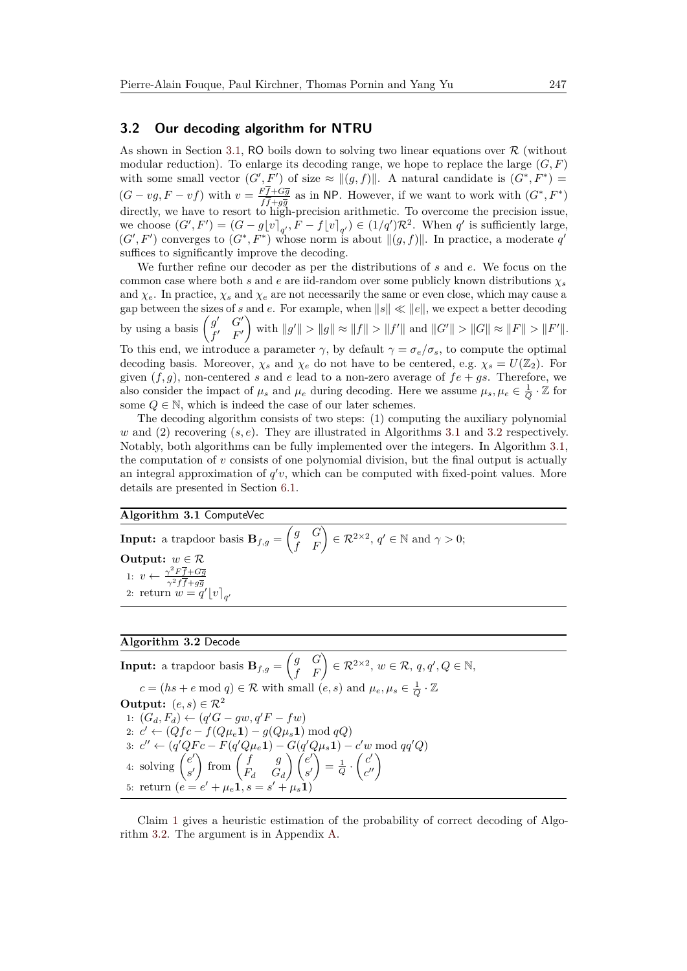### **3.2 Our decoding algorithm for NTRU**

As shown in Section [3.1,](#page-6-1) RO boils down to solving two linear equations over  $\mathcal R$  (without modular reduction). To enlarge its decoding range, we hope to replace the large  $(G, F)$ with some small vector  $(G', F')$  of size  $\approx ||(g, f)||$ . A natural candidate is  $(G^*, F^*)$  $(G - v_g, F - v f)$  with  $v = \frac{Ff + G\overline{g}}{f\overline{f} + \overline{g}}$  $\frac{Ff+G\overline{g}}{f\overline{f}+g\overline{g}}$  as in NP. However, if we want to work with  $(G^*, F^*)$ directly, we have to resort to high-precision arithmetic. To overcome the precision issue, we choose  $(G', F') = (G - g\lfloor v \rfloor_{q'}, F - f\lfloor v \rfloor_{q'}) \in (1/q')\mathcal{R}^2$ . When  $q'$  is sufficiently large,  $(G', F')$  converges to  $(G^*, F^*)$  whose norm is about  $\|(g, f)\|$ . In practice, a moderate q' suffices to significantly improve the decoding.

We further refine our decoder as per the distributions of *s* and *e*. We focus on the common case where both *s* and *e* are iid-random over some publicly known distributions  $\chi_s$ and  $\chi_e$ . In practice,  $\chi_s$  and  $\chi_e$  are not necessarily the same or even close, which may cause a gap between the sizes of *s* and *e*. For example, when  $||s|| \ll ||e||$ , we expect a better decoding by using a basis  $\begin{pmatrix} g' & G' \\ g & F \end{pmatrix}$ *f* <sup>0</sup> *F* 0  $\int$  with  $||g'|| > ||g|| \approx ||f|| > ||f'||$  and  $||G'|| > ||G|| \approx ||F|| > ||F'||$ . To this end, we introduce a parameter  $\gamma$ , by default  $\gamma = \sigma_e/\sigma_s$ , to compute the optimal decoding basis. Moreover,  $\chi_s$  and  $\chi_e$  do not have to be centered, e.g.  $\chi_s = U(\mathbb{Z}_2)$ . For given  $(f, g)$ , non-centered *s* and *e* lead to a non-zero average of  $fe + gs$ . Therefore, we also consider the impact of  $\mu_s$  and  $\mu_e$  during decoding. Here we assume  $\mu_s, \mu_e \in \frac{1}{Q} \cdot \mathbb{Z}$  for some  $Q \in \mathbb{N}$ , which is indeed the case of our later schemes.

The decoding algorithm consists of two steps: (1) computing the auxiliary polynomial *w* and (2) recovering (*s, e*). They are illustrated in Algorithms [3.1](#page-7-0) and [3.2](#page-7-1) respectively. Notably, both algorithms can be fully implemented over the integers. In Algorithm [3.1,](#page-7-0) the computation of *v* consists of one polynomial division, but the final output is actually an integral approximation of  $q'v$ , which can be computed with fixed-point values. More details are presented in Section [6.1.](#page-16-0)

### <span id="page-7-0"></span>**Algorithm 3.1** ComputeVec

**Input:** a trapdoor basis  $\mathbf{B}_{f,g} = \begin{pmatrix} g & G \ f & F \end{pmatrix} \in \mathcal{R}^{2 \times 2}, q' \in \mathbb{N}$  and  $\gamma > 0$ ; **Output:**  $w \in \mathcal{R}$ 1:  $v \leftarrow \frac{\gamma^2 F \overline{f} + G \overline{g}}{r^2 F \overline{f} + G \overline{g}}$  $\gamma^2 f f + g\overline{g}$ 2: return  $w = q' \lfloor v \rfloor_{q'}$ 

# <span id="page-7-1"></span>**Algorithm 3.2** Decode

 $\textbf{Input:} \text{ a trapdoor basis } \mathbf{B}_{f,g} = \begin{pmatrix} g & G \ f & F \end{pmatrix} \in \mathcal{R}^{2 \times 2}, \, w \in \mathcal{R}, \, q, q', Q \in \mathbb{N},$  $c = (hs + e \text{ mod } q) \in \mathcal{R}$  with small  $(e, s)$  and  $\mu_e, \mu_s \in \frac{1}{Q} \cdot \mathbb{Z}$ **Output:**  $(e, s) \in \mathbb{R}^2$ 1:  $(G_d, F_d)$  ←  $(q'G - gw, q'F - fw)$ 2:  $c'$  ← ( $Qfc - f(Q\mu_e 1) - g(Q\mu_s 1) \bmod qQ$ ) 3:  $c'' \leftarrow (q'QFc - F(q'Q\mu_e \mathbf{1}) - G(q'Q\mu_s \mathbf{1}) - c'w \bmod{qq'Q}$ 4: solving  $\begin{pmatrix} e' \\ e' \end{pmatrix}$ *s* 0  $\int$  from  $\begin{pmatrix} f & g \\ g & g \end{pmatrix}$ *F<sup>d</sup> G<sup>d</sup>*  $\bigwedge$   $\bigl(e^{t}\bigr)$ *s* 0  $=$  $\frac{1}{Q}$ .  $\left(\frac{c'}{c'}\right)$  $\begin{pmatrix} c' \\ c'' \end{pmatrix}$ 5: return  $(e = e' + \mu_a 1]$  s =  $\boldsymbol{\theta}^{\prime} + \mu_e \boldsymbol{1}, s = s^{\prime} + \mu_s \boldsymbol{1},$ 

Claim [1](#page-8-0) gives a heuristic estimation of the probability of correct decoding of Algorithm [3.2.](#page-7-1) The argument is in Appendix [A.](#page-24-1)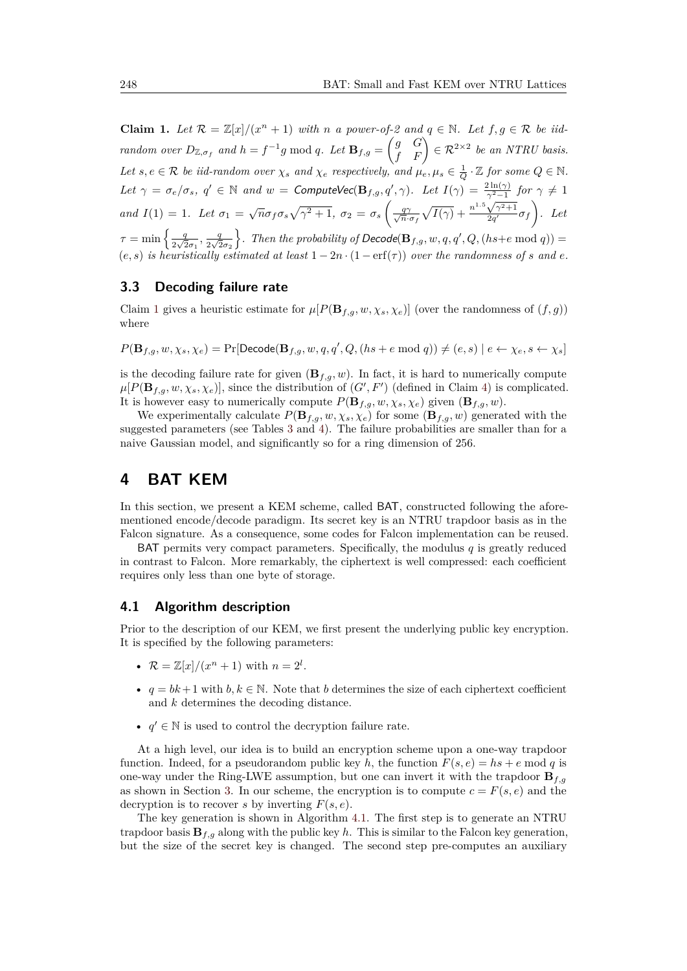<span id="page-8-0"></span>**Claim 1.** Let  $\mathcal{R} = \mathbb{Z}[x]/(x^n + 1)$  with *n a* power-of-2 and  $q \in \mathbb{N}$ . Let  $f, g \in \mathcal{R}$  be iid*random over*  $D_{\mathbb{Z}, \sigma_f}$  *and*  $h = f^{-1}g \mod q$ *. Let*  $\mathbf{B}_{f,g} = \begin{pmatrix} g & G \\ f & F \end{pmatrix} \in \mathcal{R}^{2 \times 2}$  *be an NTRU basis. Let*  $s, e \in \mathcal{R}$  *be iid-random over*  $\chi_s$  *and*  $\chi_e$  *respectively, and*  $\mu_e, \mu_s \in \frac{1}{Q} \cdot \mathbb{Z}$  *for some*  $Q \in \mathbb{N}$ *.* Let  $\gamma = \sigma_e/\sigma_s$ ,  $q' \in \mathbb{N}$  and  $w =$  ComputeVec( $\mathbf{B}_{f,g}, q', \gamma$ ). Let  $I(\gamma) = \frac{2 \ln(\gamma)}{\gamma^2 - 1}$  for  $\gamma \neq 1$ *and*  $I(1) = 1$ *. Let*  $\sigma_1 = \sqrt{n} \sigma_f \sigma_s \sqrt{\gamma^2 + 1}$ ,  $\sigma_2 = \sigma_s \left( \frac{q\gamma}{\sqrt{n}} \right)$  $\frac{q\gamma}{\overline{n}\cdot\sigma_f}\sqrt{I(\gamma)}+\frac{n}{2}$  $\frac{\gamma^2 - 1}{\sqrt{\gamma^2 + 1}}$  $\sqrt{\frac{\gamma^2+1}{2q'}}\sigma_f$ ). Let  $\tau = \min \left\{ \frac{q}{2\sqrt{c}} \right\}$  $rac{q}{2\sqrt{2}\sigma_1}$ ,  $rac{q}{2\sqrt{2}}$  $rac{q}{2\sqrt{2}\sigma_2}$  $\}$ . Then the probability of Decode( $\mathbf{B}_{f,g}$ ,  $w, q, q', Q, (hs+e \text{ mod } q)$ ) =  $(e, s)$  *is heuristically estimated at least*  $1 - 2n \cdot (1 - erf(\tau))$  *over the randomness of s and e*.

### **3.3 Decoding failure rate**

Claim [1](#page-8-0) gives a heuristic estimate for  $\mu[P(\mathbf{B}_{f,g}, w, \chi_s, \chi_e)]$  (over the randomness of  $(f, g)$ ) where

 $P(\mathbf{B}_{f,g}, w, \chi_s, \chi_e) = \Pr[\mathsf{Decode}(\mathbf{B}_{f,g}, w, q, q', Q, (hs + e \bmod q)) \neq (e, s) | e \leftarrow \chi_e, s \leftarrow \chi_s]$ 

is the decoding failure rate for given  $(\mathbf{B}_{f,q}, w)$ . In fact, it is hard to numerically compute  $\mu[P(\mathbf{B}_{f,g}, w, \chi_s, \chi_e)]$ , since the distribution of  $(G', F')$  (defined in Claim [4\)](#page-24-2) is complicated. It is however easy to numerically compute  $P(\mathbf{B}_{f,g}, w, \chi_s, \chi_e)$  given  $(\mathbf{B}_{f,g}, w)$ .

We experimentally calculate  $P(\mathbf{B}_{f,g}, w, \chi_s, \chi_e)$  for some  $(\mathbf{B}_{f,g}, w)$  generated with the suggested parameters (see Tables [3](#page-12-0) and [4\)](#page-12-1). The failure probabilities are smaller than for a naive Gaussian model, and significantly so for a ring dimension of 256.

# **4 BAT KEM**

In this section, we present a KEM scheme, called BAT, constructed following the aforementioned encode/decode paradigm. Its secret key is an NTRU trapdoor basis as in the Falcon signature. As a consequence, some codes for Falcon implementation can be reused.

BAT permits very compact parameters. Specifically, the modulus *q* is greatly reduced in contrast to Falcon. More remarkably, the ciphertext is well compressed: each coefficient requires only less than one byte of storage.

#### **4.1 Algorithm description**

Prior to the description of our KEM, we first present the underlying public key encryption. It is specified by the following parameters:

- $\mathcal{R} = \mathbb{Z}[x]/(x^n + 1)$  with  $n = 2^l$ .
- $q = bk + 1$  with  $b, k \in \mathbb{N}$ . Note that *b* determines the size of each ciphertext coefficient and *k* determines the decoding distance.
- $q' \in \mathbb{N}$  is used to control the decryption failure rate.

At a high level, our idea is to build an encryption scheme upon a one-way trapdoor function. Indeed, for a pseudorandom public key *h*, the function  $F(s, e) = hs + e \text{ mod } q$  is one-way under the Ring-LWE assumption, but one can invert it with the trapdoor  $\mathbf{B}_{f,q}$ as shown in Section [3.](#page-6-0) In our scheme, the encryption is to compute  $c = F(s, e)$  and the decryption is to recover *s* by inverting *F*(*s, e*).

The key generation is shown in Algorithm [4.1.](#page-9-0) The first step is to generate an NTRU trapdoor basis  $\mathbf{B}_{f,g}$  along with the public key *h*. This is similar to the Falcon key generation, but the size of the secret key is changed. The second step pre-computes an auxiliary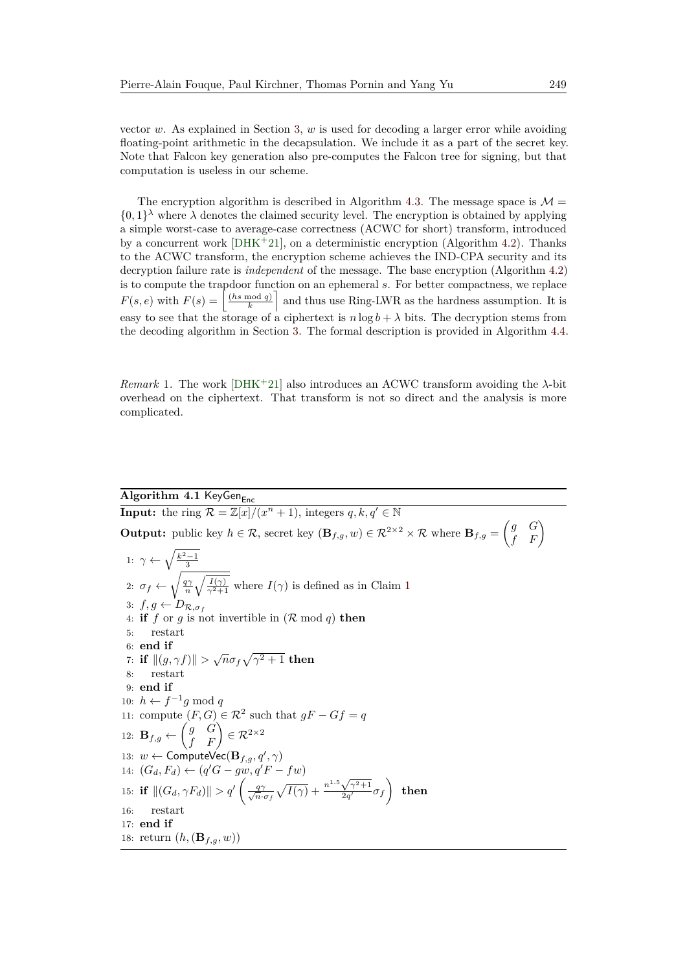vector *w*. As explained in Section [3,](#page-6-0) *w* is used for decoding a larger error while avoiding floating-point arithmetic in the decapsulation. We include it as a part of the secret key. Note that Falcon key generation also pre-computes the Falcon tree for signing, but that computation is useless in our scheme.

The encryption algorithm is described in Algorithm [4.3.](#page-10-0) The message space is  $\mathcal{M} =$  $\{0,1\}^{\lambda}$  where  $\lambda$  denotes the claimed security level. The encryption is obtained by applying a simple worst-case to average-case correctness (ACWC for short) transform, introduced by a concurrent work  $[DHK^+21]$  $[DHK^+21]$ , on a deterministic encryption (Algorithm [4.2\)](#page-10-1). Thanks to the ACWC transform, the encryption scheme achieves the IND-CPA security and its decryption failure rate is *independent* of the message. The base encryption (Algorithm [4.2\)](#page-10-1) is to compute the trapdoor function on an ephemeral *s*. For better compactness, we replace  $F(s, e)$  with  $F(s) =$ (*hs* mod *q*)  $\left(\frac{d^{n}q}{k}\right)$  and thus use Ring-LWR as the hardness assumption. It is easy to see that the storage of a ciphertext is  $n \log b + \lambda$  bits. The decryption stems from the decoding algorithm in Section [3.](#page-6-0) The formal description is provided in Algorithm [4.4.](#page-10-2)

*Remark* 1*.* The work [\[DHK](#page-21-6)<sup>+</sup>21] also introduces an ACWC transform avoiding the *λ*-bit overhead on the ciphertext. That transform is not so direct and the analysis is more complicated.

# <span id="page-9-0"></span> $\overline{\text{Algorithm 4.1 KeyGen}_{Enc}}$

**Input:** the ring  $\mathcal{R} = \mathbb{Z}[x]/(x^n + 1)$ , integers  $q, k, q' \in \mathbb{N}$ **Output:** public key  $h \in \mathcal{R}$ , secret key  $(\mathbf{B}_{f,g}, w) \in \mathcal{R}^{2 \times 2} \times \mathcal{R}$  where  $\mathbf{B}_{f,g} = \begin{pmatrix} g & G \\ f & F \end{pmatrix}$ 1:  $\gamma \leftarrow \sqrt{\frac{k^2-1}{3}}$ 2:  $\sigma_f \leftarrow \sqrt{\frac{q\gamma}{n} \sqrt{\frac{I(\gamma)}{\gamma^2+1}}}$  $\sigma_f \leftarrow \sqrt{\frac{q\gamma}{n} \sqrt{\frac{I(\gamma)}{\gamma^2+1}}}$  $\sigma_f \leftarrow \sqrt{\frac{q\gamma}{n} \sqrt{\frac{I(\gamma)}{\gamma^2+1}}}$  where  $I(\gamma)$  is defined as in Claim 1 3:  $f, g \leftarrow D_{\mathcal{R}, \sigma_f}$ 4: **if**  $f$  or  $g$  is not invertible in  $(R \text{ mod } q)$  **then** 5: restart 6: **end if** *τ*: **if**  $||(g, γf)|| > √πσ_f √γ² + 1$  then 8: restart 9: **end if** 10:  $h \leftarrow f^{-1}g \mod q$ 11: compute  $(F, G) \in \mathbb{R}^2$  such that  $gF - Gf = q$ 12:  $\mathbf{B}_{f,g} \leftarrow \begin{pmatrix} g & G \ f & F \end{pmatrix} \in \mathcal{R}^{2 \times 2}$ 13:  $w \leftarrow$  ComputeVec $(\mathbf{B}_{f,g}, q', \gamma)$ 14:  $(G_d, F_d)$  ←  $(q'G - gw, q'F - fw)$ 15: **if**  $||(G_d, \gamma F_d)|| > q' \left(\frac{q\gamma}{\sqrt{n}}\right)$  $\frac{q\gamma}{n\cdot \sigma_f}\sqrt{I(\gamma)} + \frac{n}{2}$  $1.5\sqrt{\gamma^2+1}$  $\frac{\sqrt{\gamma^2+1}}{2q'}\sigma_f\Big)$  then 16: restart 17: **end if** 18: return  $(h, (\mathbf{B}_{f,g}, w))$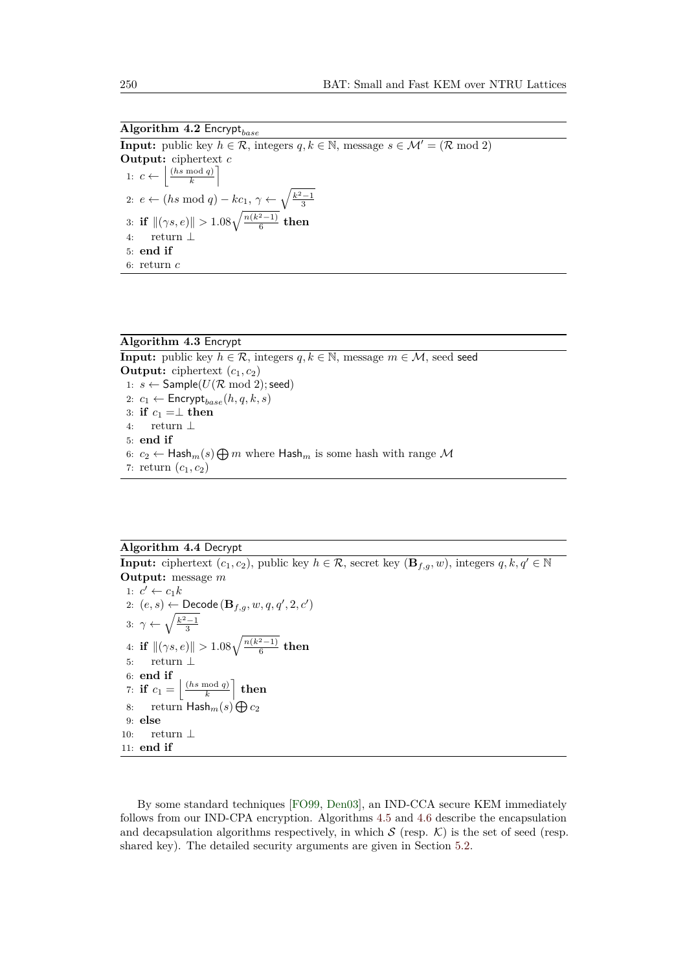<span id="page-10-1"></span>**Algorithm 4.2** Encrypt*base* **Input:** public key  $h \in \mathcal{R}$ , integers  $q, k \in \mathbb{N}$ , message  $s \in \mathcal{M}' = (\mathcal{R} \mod 2)$ **Output:** ciphertext *c* 1:  $c \leftarrow \left| \frac{(hs \mod q)}{k} \right|$  $\left[\frac{mod\ q}{k}\right]$ 2: *e* ← (*hs* mod *q*) – *kc*<sub>1</sub>,  $\gamma$  ←  $\sqrt{\frac{k^2-1}{3}}$ 3: **if**  $\|(\gamma s, e)\| > 1.08\sqrt{\frac{n(k^2-1)}{6}}$  $\frac{x-1}{6}$  then 4: return ⊥ 5: **end if** 6: return *c*

<span id="page-10-0"></span>**Algorithm 4.3** Encrypt **Input:** public key  $h \in \mathcal{R}$ , integers  $q, k \in \mathbb{N}$ , message  $m \in \mathcal{M}$ , seed seed **Output:** ciphertext  $(c_1, c_2)$ 1:  $s \leftarrow$  Sample( $U(\mathcal{R} \mod 2)$ ; seed) 2:  $c_1 \leftarrow$  Encrypt<sub>base</sub> $(h, q, k, s)$ 3: **if**  $c_1 = \perp$  **then** 4: return ⊥ 5: **end if** 6:  $c_2 \leftarrow$  Hash<sub>*m*</sub>(*s*)  $\bigoplus m$  where Hash<sub>*m*</sub> is some hash with range M 7: return  $(c_1, c_2)$ 

# <span id="page-10-2"></span>**Algorithm 4.4** Decrypt

**Input:** ciphertext  $(c_1, c_2)$ , public key  $h \in \mathcal{R}$ , secret key  $(\mathbf{B}_{f,q}, w)$ , integers  $q, k, q' \in \mathbb{N}$ **Output:** message *m* 1:  $c' \leftarrow c_1 k$ 2:  $(e, s) \leftarrow$  Decode  $(\mathbf{B}_{f,g}, w, q, q', 2, c')$ 3:  $\gamma \leftarrow \sqrt{\frac{k^2-1}{3}}$ 4: **if**  $\|(\gamma s, e)\| > 1.08\sqrt{\frac{n(k^2-1)}{6}}$  $\frac{x-1}{6}$  then 5: return ⊥ 6: **end if** 7: **if**  $c_1 = \frac{\ln \mod q}{k}$  $\left[\frac{\mod q}{k}\right]$  then 8: return  $\mathsf{Hash}_m(s) \bigoplus c_2$ 9: **else** 10: return ⊥ 11: **end if**

By some standard techniques [\[FO99,](#page-22-9) [Den03\]](#page-21-10), an IND-CCA secure KEM immediately follows from our IND-CPA encryption. Algorithms [4.5](#page-11-0) and [4.6](#page-11-1) describe the encapsulation and decapsulation algorithms respectively, in which  $S$  (resp.  $K$ ) is the set of seed (resp. shared key). The detailed security arguments are given in Section [5.2.](#page-13-0)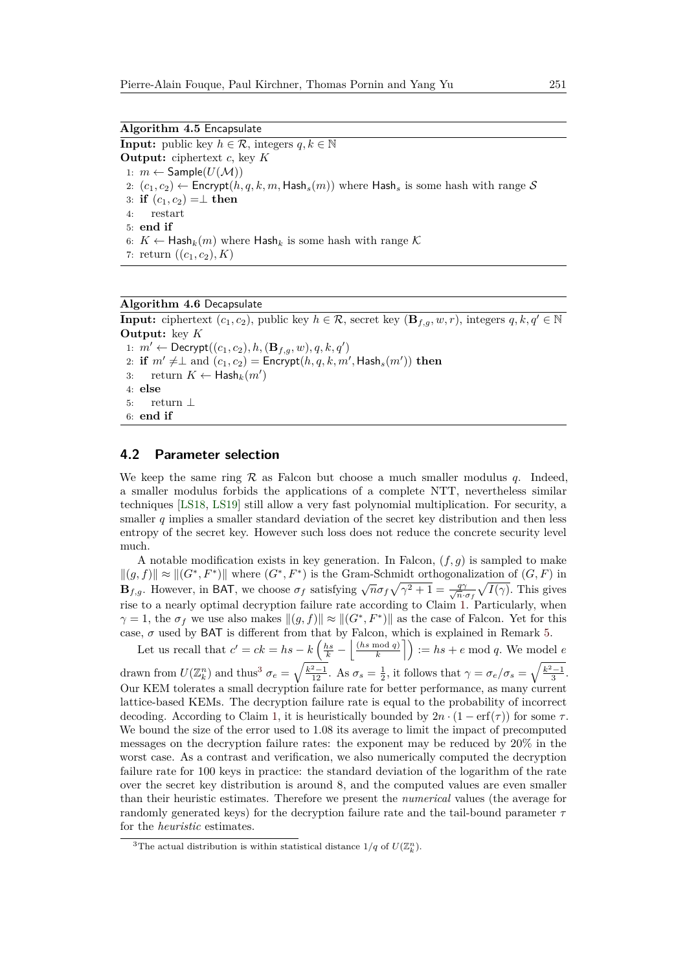<span id="page-11-0"></span>**Algorithm 4.5** Encapsulate **Input:** public key  $h \in \mathcal{R}$ , integers  $q, k \in \mathbb{N}$ **Output:** ciphertext *c*, key *K* 1:  $m \leftarrow$  Sample( $U(\mathcal{M})$ ) 2:  $(c_1, c_2) \leftarrow$  Encrypt $(h, q, k, m,$  Hash<sub>s</sub> $(m))$  where Hash<sub>s</sub> is some hash with range S 3: **if**  $(c_1, c_2) = \perp$  **then** 4: restart 5: **end if** 6:  $K \leftarrow$  Hash<sub>k</sub> $(m)$  where Hash<sub>k</sub> is some hash with range K 7: return  $((c_1, c_2), K)$ 

```
Algorithm 4.6 Decapsulate
```
**Input:** ciphertext  $(c_1, c_2)$ , public key  $h \in \mathcal{R}$ , secret key  $(\mathbf{B}_{f,q}, w, r)$ , integers  $q, k, q' \in \mathbb{N}$ **Output:** key *K* 1:  $m'$  ← Decrypt( $(c_1, c_2)$ *, h,*  $(**B**$ *f<sub>,<i>g*</sub></sub>, *w*)*, q, k, q*<sup>'</sup>) 2: **if**  $m' \neq \perp$  and  $(c_1, c_2) =$  Encrypt $(h, q, k, m',$  Hash<sub>s</sub> $(m'))$  then 3: return  $K \leftarrow \mathsf{Hash}_k(m')$ 4: **else** 5: return ⊥ 6: **end if**

## **4.2 Parameter selection**

We keep the same ring  $\mathcal R$  as Falcon but choose a much smaller modulus q. Indeed, a smaller modulus forbids the applications of a complete NTT, nevertheless similar techniques [\[LS18,](#page-23-10) [LS19\]](#page-23-4) still allow a very fast polynomial multiplication. For security, a smaller *q* implies a smaller standard deviation of the secret key distribution and then less entropy of the secret key. However such loss does not reduce the concrete security level much.

A notable modification exists in key generation. In Falcon,  $(f, g)$  is sampled to make  $\|(g, f)\| \approx \|(G^*, F^*)\|$  where  $(G^*, F^*)$  is the Gram-Schmidt orthogonalization of  $(G, F)$  in **B***f*<sub>*f,g*</sub>. However, in BAT, we choose  $\sigma_f$  satisfying  $\sqrt{n\sigma_f}\sqrt{\gamma^2+1} = \frac{q\gamma}{\sqrt{n}}$ .  $\frac{q\gamma}{n \cdot \sigma_f} \sqrt{I(\gamma)}$ . This gives rise to a nearly optimal decryption failure rate according to Claim [1.](#page-8-0) Particularly, when  $\gamma = 1$ , the  $\sigma_f$  we use also makes  $\|(g, f)\| \approx \| (G^*, F^*) \|$  as the case of Falcon. Yet for this case,  $\sigma$  used by BAT is different from that by Falcon, which is explained in Remark [5.](#page-25-0)

Let us recall that  $c' = ck = hs - k \left(\frac{hs}{k} - \frac{ls}{k}\right) \frac{(hs \mod q)}{k}$  $\left(\frac{\text{mod } q}{k}\right]$  := *hs* + *e* mod *q*. We model *e* drawn from  $U(\mathbb{Z}_k^n)$  and thus<sup>[3](#page-11-2)</sup>  $\sigma_e = \sqrt{\frac{k^2-1}{12}}$ . As  $\sigma_s = \frac{1}{2}$ , it follows that  $\gamma = \sigma_e/\sigma_s = \sqrt{\frac{k^2-1}{3}}$ . Our KEM tolerates a small decryption failure rate for better performance, as many current lattice-based KEMs. The decryption failure rate is equal to the probability of incorrect decoding. According to Claim [1,](#page-8-0) it is heuristically bounded by  $2n \cdot (1 - erf(\tau))$  for some  $\tau$ . We bound the size of the error used to 1*.*08 its average to limit the impact of precomputed messages on the decryption failure rates: the exponent may be reduced by 20% in the worst case. As a contrast and verification, we also numerically computed the decryption failure rate for 100 keys in practice: the standard deviation of the logarithm of the rate over the secret key distribution is around 8, and the computed values are even smaller than their heuristic estimates. Therefore we present the *numerical* values (the average for randomly generated keys) for the decryption failure rate and the tail-bound parameter *τ* for the *heuristic* estimates.

<span id="page-11-2"></span><sup>&</sup>lt;sup>3</sup>The actual distribution is within statistical distance  $1/q$  of  $U(\mathbb{Z}_k^n)$ .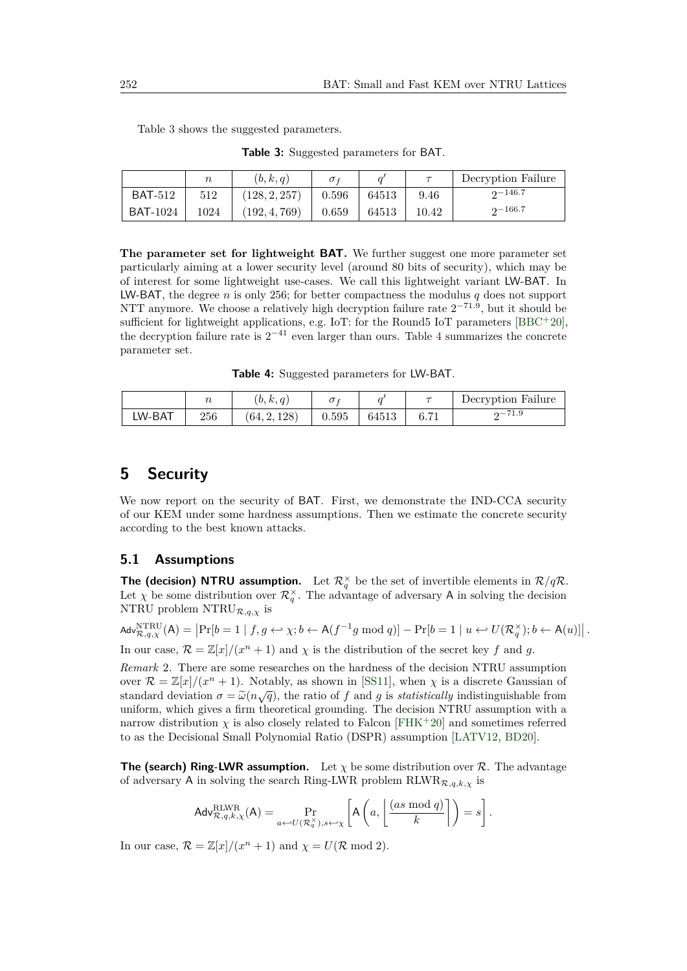<span id="page-12-0"></span>

|                 | $\boldsymbol{n}$ | (b, k, q)     | $\sigma$ <sub>f</sub> |       |       | Decryption Failure |
|-----------------|------------------|---------------|-----------------------|-------|-------|--------------------|
| <b>BAT-512</b>  | 512              | (128, 2, 257) | 0.596                 | 64513 | 9.46  | $2 - 146.7$        |
| <b>BAT-1024</b> | 1024             | (192, 4, 769) | 0.659                 | 64513 | 10.42 | $2 - 166.7$        |

Table [3](#page-12-0) shows the suggested parameters.

**Table 3:** Suggested parameters for BAT.

**The parameter set for lightweight BAT.** We further suggest one more parameter set particularly aiming at a lower security level (around 80 bits of security), which may be of interest for some lightweight use-cases. We call this lightweight variant LW-BAT. In LW-BAT, the degree *n* is only 256; for better compactness the modulus *q* does not support NTT anymore. We choose a relatively high decryption failure rate  $2^{-71.9}$ , but it should be sufficient for lightweight applications, e.g. IoT: for the Round5 IoT parameters [\[BBC](#page-20-3)+20]. the decryption failure rate is  $2^{-41}$  $2^{-41}$  $2^{-41}$  even larger than ours. Table 4 summarizes the concrete parameter set.

**Table 4:** Suggested parameters for LW-BAT.

<span id="page-12-1"></span>

|        |     | (b, k, q)    |       |       |      | Decryption Failure |
|--------|-----|--------------|-------|-------|------|--------------------|
| LW-BAT | 256 | (64, 2, 128) | 0.595 | 64513 | 6.71 | $2 - 71.9$         |

# **5 Security**

We now report on the security of BAT. First, we demonstrate the IND-CCA security of our KEM under some hardness assumptions. Then we estimate the concrete security according to the best known attacks.

# <span id="page-12-2"></span>**5.1 Assumptions**

**The (decision) NTRU assumption.** Let  $\mathcal{R}^{\times}_q$  be the set of invertible elements in  $\mathcal{R}/q\mathcal{R}$ . Let  $\chi$  be some distribution over  $\mathcal{R}_q^{\times}$ . The advantage of adversary A in solving the decision NTRU problem  $\text{NTRU}_{\mathcal{R},q,\chi}$  is

 $\mathsf{Adv}_{\mathcal{R},q,\chi}^{\mathsf{NTRU}}(\mathsf{A}) = \left| \Pr[b=1 \mid f,g \leftrightarrow \chi; b \leftarrow \mathsf{A}(f^{-1}g \bmod q) \right] - \Pr[b=1 \mid u \leftrightarrow U(\mathcal{R}_q^{\times}); b \leftarrow \mathsf{A}(u)] \right|.$ In our case,  $\mathcal{R} = \mathbb{Z}[x]/(x^n + 1)$  and  $\chi$  is the distribution of the secret key f and g.

*Remark* 2*.* There are some researches on the hardness of the decision NTRU assumption over  $\mathcal{R} = \mathbb{Z}[x]/(x^n + 1)$ . Notably, as shown in [\[SS11\]](#page-24-3), when  $\chi$  is a discrete Gaussian of standard deviation  $σ = ω(n\sqrt{q})$ , the ratio of *f* and *g* is *statistically* indistinguishable from uniform which gives a firm theoretical grounding. The decision NTBH assumption with a uniform, which gives a firm theoretical grounding. The decision NTRU assumption with a narrow distribution  $\chi$  is also closely related to Falcon [\[FHK](#page-22-1)+20] and sometimes referred to as the Decisional Small Polynomial Ratio (DSPR) assumption [\[LATV12,](#page-22-10) [BD20\]](#page-20-8).

**The (search) Ring-LWR assumption.** Let  $\chi$  be some distribution over  $\mathcal{R}$ . The advantage of adversary A in solving the search Ring-LWR problem  $RLWR_{\mathcal{R},q,k,\chi}$  is

$$
\mathsf{Adv}_{\mathcal{R},q,k,\chi}^{\text{RLWR}}(\mathsf{A}) = \Pr_{a \leftarrow U(\mathcal{R}_q^{\times}), s \leftarrow \chi} \left[ \mathsf{A}\left(a, \left\lfloor \frac{(as \bmod q)}{k} \right\rfloor\right) = s \right].
$$

In our case,  $\mathcal{R} = \mathbb{Z}[x]/(x^n + 1)$  and  $\chi = U(\mathcal{R} \mod 2)$ .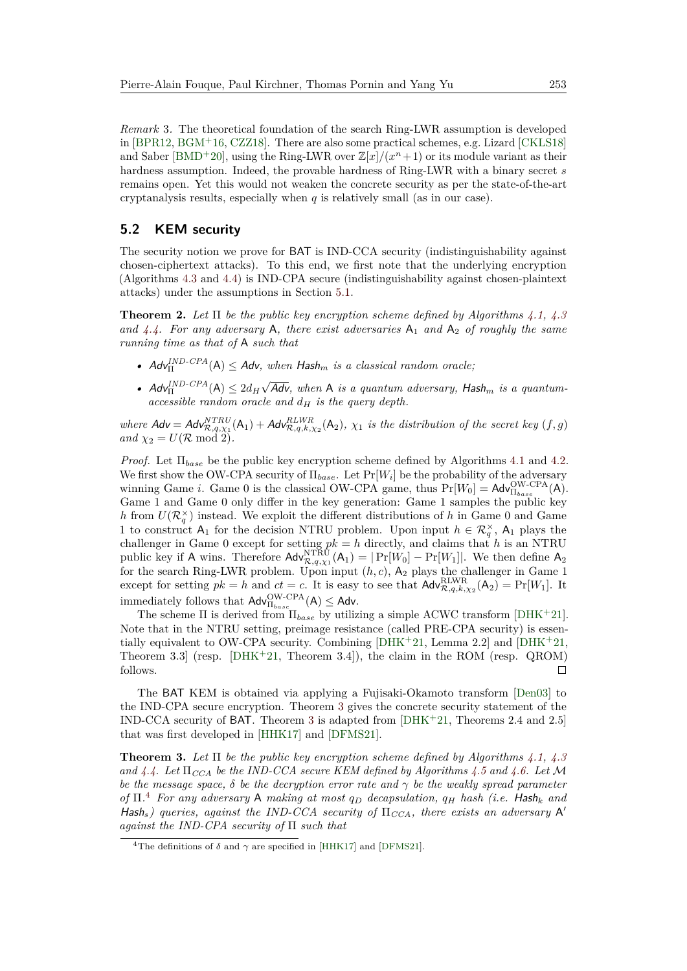*Remark* 3*.* The theoretical foundation of the search Ring-LWR assumption is developed in [\[BPR12,](#page-20-4) [BGM](#page-20-9)<sup>+</sup>16, [CZZ18\]](#page-21-8). There are also some practical schemes, e.g. Lizard [\[CKLS18\]](#page-21-7) and Saber [\[BMD](#page-20-2)<sup>+</sup>20], using the Ring-LWR over  $\mathbb{Z}[x]/(x^n+1)$  or its module variant as their hardness assumption. Indeed, the provable hardness of Ring-LWR with a binary secret *s* remains open. Yet this would not weaken the concrete security as per the state-of-the-art cryptanalysis results, especially when *q* is relatively small (as in our case).

# <span id="page-13-0"></span>**5.2 KEM security**

The security notion we prove for BAT is IND-CCA security (indistinguishability against chosen-ciphertext attacks). To this end, we first note that the underlying encryption (Algorithms [4.3](#page-10-0) and [4.4\)](#page-10-2) is IND-CPA secure (indistinguishability against chosen-plaintext attacks) under the assumptions in Section [5.1.](#page-12-2)

**Theorem 2.** *Let* Π *be the public key encryption scheme defined by Algorithms [4.1,](#page-9-0) [4.3](#page-10-0)* and  $4.4$ . For any adversary A, there exist adversaries  $A_1$  and  $A_2$  of roughly the same *running time as that of* A *such that*

- $\mathsf{Adv}_{\Pi}^{IND-CPA}(A) \leq \mathsf{Adv}, \text{ when } \mathsf{Hash}_m \text{ is a classical random oracle};$
- $Adv_{\Pi}^{IND\text{-}CPA}(\mathsf{A}) \leq 2d_H$ √ Adv*, when* A *is a quantum adversary,* Hash*<sup>m</sup> is a quantumaccessible random oracle and*  $d_H$  *is the query depth.*

*where*  $\mathbf{Adv} = \mathbf{Adv}_{\mathcal{R},q,\chi_1}^{NTRU}(\mathbf{A}_1) + \mathbf{Adv}_{\mathcal{R},q,k,\chi_2}^{RLWR}(\mathbf{A}_2)$ ,  $\chi_1$  is the distribution of the secret key  $(f,g)$  $and \chi_2 = U(\mathcal{R} \mod 2).$ 

*Proof.* Let Π*base* be the public key encryption scheme defined by Algorithms [4.1](#page-9-0) and [4.2.](#page-10-1) We first show the OW-CPA security of Π*base*. Let Pr[*W<sup>i</sup>* ] be the probability of the adversary winning Game *i*. Game 0 is the classical OW-CPA game, thus  $Pr[W_0] = \text{Adv}_{\Pi_{base}}^{\text{OW-CPA}}(A)$ . Game 1 and Game 0 only differ in the key generation: Game 1 samples the public key *h* from  $U(\mathcal{R}_{q}^{\times})$  instead. We exploit the different distributions of *h* in Game 0 and Game 1 to construct  $A_1$  for the decision NTRU problem. Upon input  $h \in \mathcal{R}_q^{\times}$ ,  $A_1$  plays the challenger in Game 0 except for setting  $pk = h$  directly, and claims that *h* is an NTRU public key if A wins. Therefore  $\text{Adv}_{\mathcal{R},q,\chi_1}^{\text{NTRU}}(\mathsf{A}_1) = |\Pr[W_0] - \Pr[W_1]|$ . We then define  $\mathsf{A}_2$ for the search Ring-LWR problem. Upon input  $(h, c)$ ,  $A_2$  plays the challenger in Game 1 except for setting  $pk = h$  and  $ct = c$ . It is easy to see that  $\mathsf{Adv}_{\mathcal{R},q,k,\chi_2}^{\text{RLWR}}(\mathsf{A}_2) = \Pr[W_1]$ . It immediately follows that  $\mathsf{Adv}^{\mathrm{OW-CPA}}_{\Pi_{base}}(\mathsf{A}) \leq \mathsf{Adv}.$ 

The scheme Π is derived from Π*base* by utilizing a simple ACWC transform [\[DHK](#page-21-6)<sup>+</sup>21]. Note that in the NTRU setting, preimage resistance (called PRE-CPA security) is essentially equivalent to OW-CPA security. Combining [\[DHK](#page-21-6)<sup>+</sup>21, Lemma 2.2] and [\[DHK](#page-21-6)<sup>+</sup>21, Theorem 3.3 (resp.  $[DHK^+21, Theorem 3.4]$  $[DHK^+21, Theorem 3.4]$ ), the claim in the ROM (resp. QROM) follows.  $\Box$ 

The BAT KEM is obtained via applying a Fujisaki-Okamoto transform [\[Den03\]](#page-21-10) to the IND-CPA secure encryption. Theorem [3](#page-13-1) gives the concrete security statement of the IND-CCA security of BAT. Theorem [3](#page-13-1) is adapted from [\[DHK](#page-21-6)<sup>+</sup>21, Theorems 2.4 and 2.5] that was first developed in [\[HHK17\]](#page-22-11) and [\[DFMS21\]](#page-21-11).

<span id="page-13-1"></span>**Theorem 3.** *Let* Π *be the public key encryption scheme defined by Algorithms [4.1,](#page-9-0) [4.3](#page-10-0) and [4.4.](#page-10-2) Let* Π*CCA be the IND-CCA secure KEM defined by Algorithms [4.5](#page-11-0) and [4.6.](#page-11-1) Let* M *be the message space,*  $\delta$  *be the decryption error rate and*  $\gamma$  *be the weakly spread parameter of* Π*.* [4](#page-13-2) *For any adversary* A *making at most q<sup>D</sup> decapsulation, q<sup>H</sup> hash (i.e.* Hash*<sup>k</sup> and* Hash<sub>s</sub>) queries, against the IND-CCA security of  $\Pi_{CCA}$ , there exists an adversary A' *against the IND-CPA security of* Π *such that*

<span id="page-13-2"></span><sup>&</sup>lt;sup>4</sup>The definitions of  $\delta$  and  $\gamma$  are specified in [\[HHK17\]](#page-22-11) and [\[DFMS21\]](#page-21-11).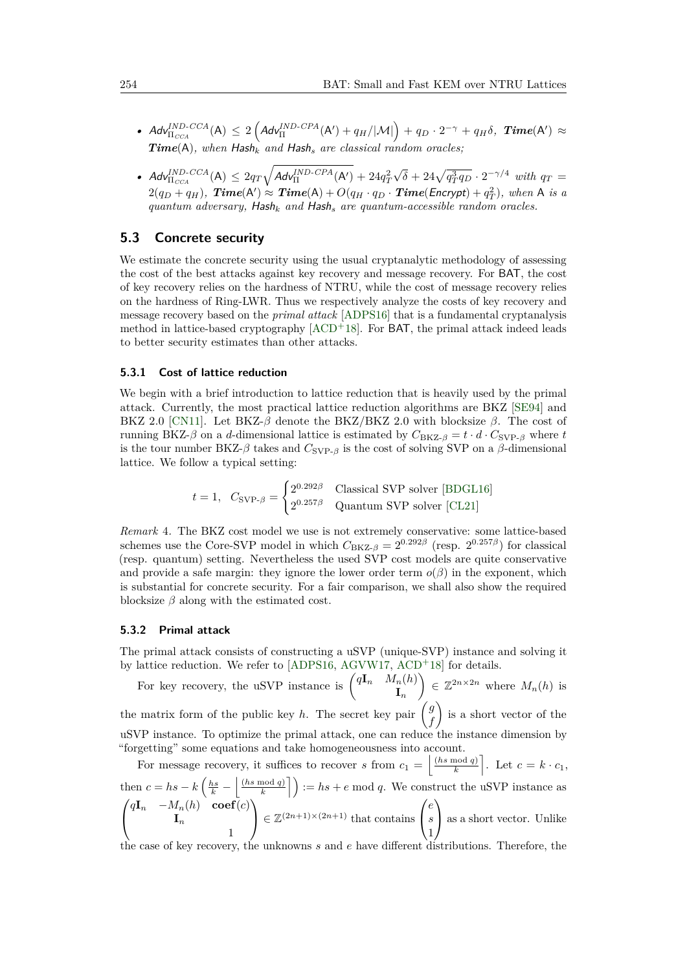- $\bullet$   $Ad\mathbf{v}_{\Pi_{CCA}}^{IND\text{-}CCA}(\mathsf{A}) \leq 2\left(Ad\mathbf{v}_{\Pi}^{IND\text{-}CPA}(\mathsf{A}') + q_H/|\mathcal{M}|\right) + q_D \cdot 2^{-\gamma} + q_H\delta, \text{ Time}(\mathsf{A}') \approx$ *Time*(A)*, when* Hash*<sup>k</sup> and* Hash*<sup>s</sup> are classical random oracles;*
- $\mathcal{A}d\mathsf{v}_{\Pi_{\mathit{CCA}}}^{\mathit{IND}\text{-}\mathit{CCA}}(A) \leq 2q_{T}\sqrt{\mathcal{A}d\mathsf{v}_{\Pi}^{\mathit{IND}\text{-}\mathit{CPA}}(A')} + 24q_{T}^{2}$  $\sqrt{\delta} + 24\sqrt{q_T^3 q_D} \cdot 2^{-\gamma/4}$  *with*  $q_T =$  $2(q_D+q_H)$ ,  $Time(A') \approx Time(A) + O(q_H \cdot q_D \cdot Time(Encrypt) + q_T^2)$ , when A is a *quantum adversary,* Hash*<sup>k</sup> and* Hash*<sup>s</sup> are quantum-accessible random oracles.*

# **5.3 Concrete security**

We estimate the concrete security using the usual cryptanalytic methodology of assessing the cost of the best attacks against key recovery and message recovery. For BAT, the cost of key recovery relies on the hardness of NTRU, while the cost of message recovery relies on the hardness of Ring-LWR. Thus we respectively analyze the costs of key recovery and message recovery based on the *primal attack* [\[ADPS16\]](#page-20-10) that is a fundamental cryptanalysis method in lattice-based cryptography  $[ACD+18]$  $[ACD+18]$ . For BAT, the primal attack indeed leads to better security estimates than other attacks.

### **5.3.1 Cost of lattice reduction**

We begin with a brief introduction to lattice reduction that is heavily used by the primal attack. Currently, the most practical lattice reduction algorithms are BKZ [\[SE94\]](#page-23-11) and BKZ 2.0 [\[CN11\]](#page-21-12). Let BKZ-*β* denote the BKZ/BKZ 2.0 with blocksize *β*. The cost of running BKZ- $\beta$  on a *d*-dimensional lattice is estimated by  $C_{BKZ-\beta} = t \cdot d \cdot C_{SVP-\beta}$  where *t* is the tour number BKZ- $\beta$  takes and  $C_{SVP-A}$  is the cost of solving SVP on a  $\beta$ -dimensional lattice. We follow a typical setting:

> $t = 1$ *,*  $C_{SVP-\beta} =$  $\int 2^{0.292\beta}$  Classical SVP solver [\[BDGL16\]](#page-20-11) 2 <sup>0</sup>*.*257*<sup>β</sup>* Quantum SVP solver [\[CL21\]](#page-20-12)

*Remark* 4*.* The BKZ cost model we use is not extremely conservative: some lattice-based schemes use the Core-SVP model in which  $C_{BKZ-\beta} = 2^{0.292\beta}$  (resp.  $2^{0.257\beta}$ ) for classical (resp. quantum) setting. Nevertheless the used SVP cost models are quite conservative and provide a safe margin: they ignore the lower order term  $o(\beta)$  in the exponent, which is substantial for concrete security. For a fair comparison, we shall also show the required blocksize *β* along with the estimated cost.

#### **5.3.2 Primal attack**

The primal attack consists of constructing a uSVP (unique-SVP) instance and solving it by lattice reduction. We refer to [\[ADPS16,](#page-20-10) [AGVW17,](#page-19-1) [ACD](#page-19-0)<sup>+</sup>18] for details.

For key recovery, the uSVP instance is  $\begin{pmatrix} q\mathbf{I}_n & M_n(h) \\ \mathbf{I} & \mathbf{I} \end{pmatrix}$ **I***n*  $\Big) \in \mathbb{Z}^{2n \times 2n}$  where  $M_n(h)$  is the matrix form of the public key *h*. The secret key pair  $\begin{pmatrix} g \\ h \end{pmatrix}$ *f*  $\bigg\}$  is a short vector of the uSVP instance. To optimize the primal attack, one can reduce the instance dimension by "forgetting" some equations and take homogeneousness into account.

For message recovery, it suffices to recover *s* from  $c_1 = \left| \frac{(hs \mod q)}{k} \right|$  $\left[\frac{\text{mod } q}{k}\right]$ . Let  $c = k \cdot c_1$ , then  $c = hs - k \left(\frac{hs}{k} - \frac{ls \mod q}{k}\right)$  $\left(\frac{\text{mod } q}{k}\right)$  := *hs* + *e* mod *q*. We construct the uSVP instance as  $\sqrt{ }$  $\mathcal{L}$  $q**I**<sub>n</sub>$  −*M*<sub>*n*</sub>(*h*) **coef**(*c*) **I***n* 1  $\setminus$  $\in \mathbb{Z}^{(2n+1)\times (2n+1)}$  that contains  $\sqrt{ }$  $\overline{1}$ *e s* 1  $\setminus$ as a short vector. Unlike

the case of key recovery, the unknowns *s* and *e* have different distributions. Therefore, the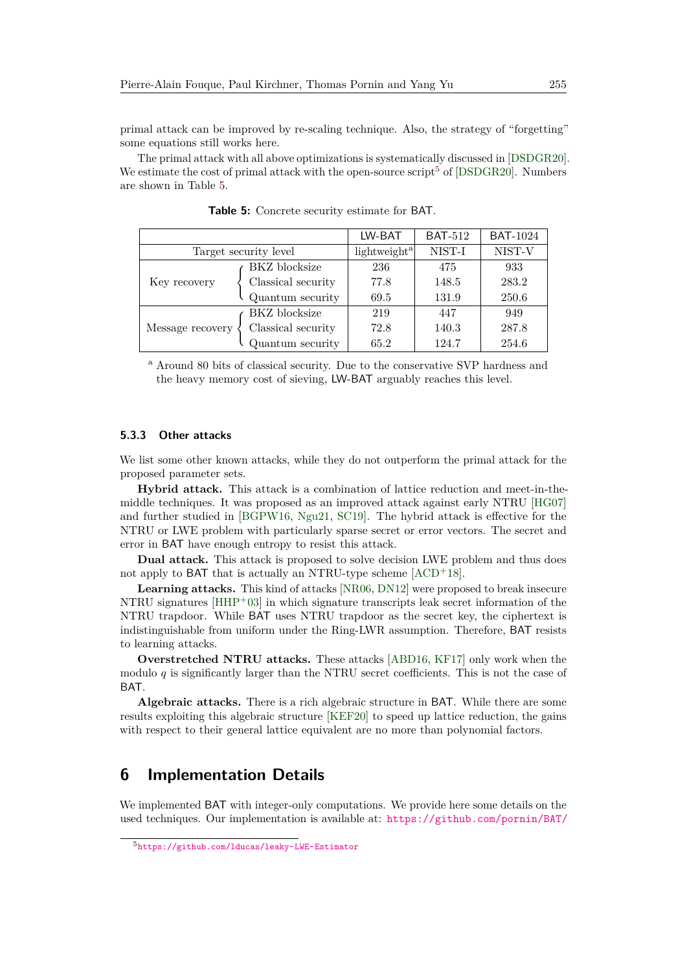primal attack can be improved by re-scaling technique. Also, the strategy of "forgetting" some equations still works here.

The primal attack with all above optimizations is systematically discussed in [\[DSDGR20\]](#page-21-13). We estimate the cost of primal attack with the open-source script<sup>[5](#page-15-0)</sup> of [\[DSDGR20\]](#page-21-13). Numbers are shown in Table [5.](#page-15-1)

<span id="page-15-1"></span>

|                       |                      | LW-BAT                   | <b>BAT-512</b> | <b>BAT-1024</b> |
|-----------------------|----------------------|--------------------------|----------------|-----------------|
| Target security level |                      | lightweight <sup>a</sup> | NIST-I         | NIST-V          |
|                       | <b>BKZ</b> blocksize | 236                      | 475            | 933             |
| Key recovery          | Classical security   | 77.8                     | 148.5          | 283.2           |
|                       | Quantum security     | 69.5                     | 131.9          | 250.6           |
|                       | <b>BKZ</b> blocksize | 219                      | 447            | 949             |
| Message recovery      | Classical security   | 72.8                     | 140.3          | 287.8           |
|                       | Quantum security     | 65.2                     | 124.7          | 254.6           |

**Table 5:** Concrete security estimate for BAT.

<sup>a</sup> Around 80 bits of classical security. Due to the conservative SVP hardness and the heavy memory cost of sieving, LW-BAT arguably reaches this level.

#### **5.3.3 Other attacks**

We list some other known attacks, while they do not outperform the primal attack for the proposed parameter sets.

**Hybrid attack.** This attack is a combination of lattice reduction and meet-in-themiddle techniques. It was proposed as an improved attack against early NTRU [\[HG07\]](#page-22-12) and further studied in [\[BGPW16,](#page-20-13) [Ngu21,](#page-23-12) [SC19\]](#page-24-4). The hybrid attack is effective for the NTRU or LWE problem with particularly sparse secret or error vectors. The secret and error in BAT have enough entropy to resist this attack.

**Dual attack.** This attack is proposed to solve decision LWE problem and thus does not apply to BAT that is actually an NTRU-type scheme [\[ACD](#page-19-0)<sup>+</sup>18].

**Learning attacks.** This kind of attacks [\[NR06,](#page-23-6) [DN12\]](#page-21-2) were proposed to break insecure NTRU signatures  $[HHP<sup>+</sup>03]$  $[HHP<sup>+</sup>03]$  in which signature transcripts leak secret information of the NTRU trapdoor. While BAT uses NTRU trapdoor as the secret key, the ciphertext is indistinguishable from uniform under the Ring-LWR assumption. Therefore, BAT resists to learning attacks.

**Overstretched NTRU attacks.** These attacks [\[ABD16,](#page-19-2) [KF17\]](#page-22-13) only work when the modulo  $q$  is significantly larger than the NTRU secret coefficients. This is not the case of **BAT** 

**Algebraic attacks.** There is a rich algebraic structure in BAT. While there are some results exploiting this algebraic structure [\[KEF20\]](#page-22-14) to speed up lattice reduction, the gains with respect to their general lattice equivalent are no more than polynomial factors.

# **6 Implementation Details**

We implemented BAT with integer-only computations. We provide here some details on the used techniques. Our implementation is available at: <https://github.com/pornin/BAT/>

<span id="page-15-0"></span><sup>5</sup><https://github.com/lducas/leaky-LWE-Estimator>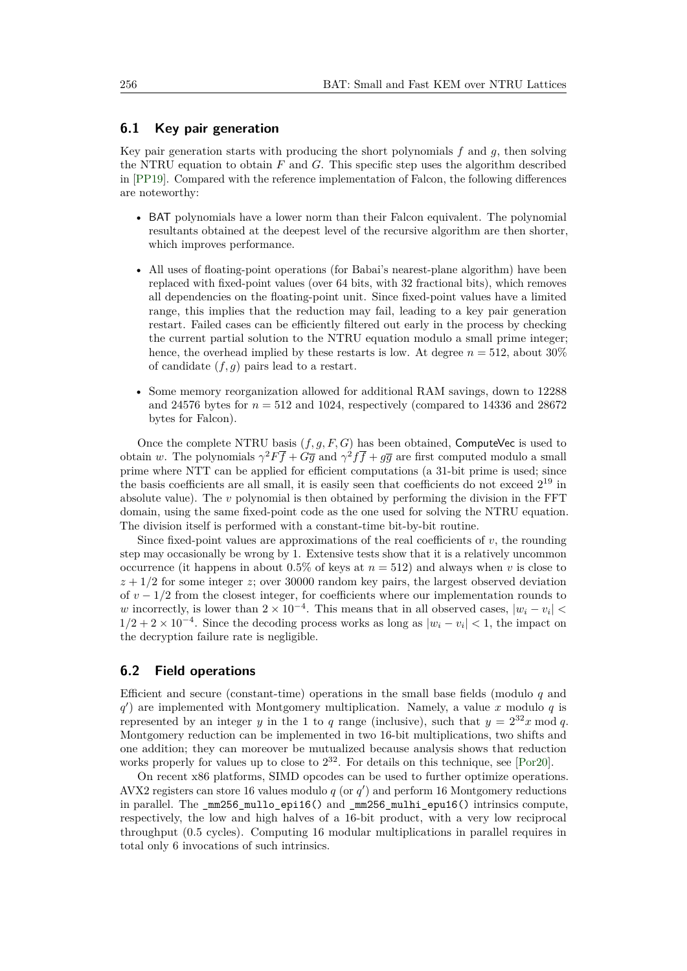#### <span id="page-16-0"></span>**6.1 Key pair generation**

Key pair generation starts with producing the short polynomials *f* and *g*, then solving the NTRU equation to obtain *F* and *G*. This specific step uses the algorithm described in [\[PP19\]](#page-23-8). Compared with the reference implementation of Falcon, the following differences are noteworthy:

- BAT polynomials have a lower norm than their Falcon equivalent. The polynomial resultants obtained at the deepest level of the recursive algorithm are then shorter, which improves performance.
- All uses of floating-point operations (for Babai's nearest-plane algorithm) have been replaced with fixed-point values (over 64 bits, with 32 fractional bits), which removes all dependencies on the floating-point unit. Since fixed-point values have a limited range, this implies that the reduction may fail, leading to a key pair generation restart. Failed cases can be efficiently filtered out early in the process by checking the current partial solution to the NTRU equation modulo a small prime integer; hence, the overhead implied by these restarts is low. At degree  $n = 512$ , about 30% of candidate (*f, g*) pairs lead to a restart.
- Some memory reorganization allowed for additional RAM savings, down to 12288 and 24576 bytes for  $n = 512$  and 1024, respectively (compared to 14336 and 28672) bytes for Falcon).

Once the complete NTRU basis (*f, g, F, G*) has been obtained, ComputeVec is used to obtain *w*. The polynomials  $\gamma^2 F \overline{f} + G \overline{g}$  and  $\gamma^2 f \overline{f} + g \overline{g}$  are first computed modulo a small prime where NTT can be applied for efficient computations (a 31-bit prime is used; since the basis coefficients are all small, it is easily seen that coefficients do not exceed  $2^{19}$  in absolute value). The *v* polynomial is then obtained by performing the division in the FFT domain, using the same fixed-point code as the one used for solving the NTRU equation. The division itself is performed with a constant-time bit-by-bit routine.

Since fixed-point values are approximations of the real coefficients of *v*, the rounding step may occasionally be wrong by 1. Extensive tests show that it is a relatively uncommon occurrence (it happens in about  $0.5\%$  of keys at  $n = 512$ ) and always when *v* is close to  $z + 1/2$  for some integer *z*; over 30000 random key pairs, the largest observed deviation of  $v - 1/2$  from the closest integer, for coefficients where our implementation rounds to *w* incorrectly, is lower than  $2 \times 10^{-4}$ . This means that in all observed cases,  $|w_i - v_i|$  $1/2 + 2 \times 10^{-4}$ . Since the decoding process works as long as  $|w_i - v_i| < 1$ , the impact on the decryption failure rate is negligible.

#### **6.2 Field operations**

Efficient and secure (constant-time) operations in the small base fields (modulo *q* and *q* 0 ) are implemented with Montgomery multiplication. Namely, a value *x* modulo *q* is represented by an integer *y* in the 1 to *q* range (inclusive), such that  $y = 2^{32}x \mod q$ . Montgomery reduction can be implemented in two 16-bit multiplications, two shifts and one addition; they can moreover be mutualized because analysis shows that reduction works properly for values up to close to  $2^{32}$ . For details on this technique, see [\[Por20\]](#page-23-13).

On recent x86 platforms, SIMD opcodes can be used to further optimize operations. AVX2 registers can store 16 values modulo  $q$  (or  $q'$ ) and perform 16 Montgomery reductions in parallel. The \_mm256\_mullo\_epi16() and \_mm256\_mulhi\_epu16() intrinsics compute, respectively, the low and high halves of a 16-bit product, with a very low reciprocal throughput (0.5 cycles). Computing 16 modular multiplications in parallel requires in total only 6 invocations of such intrinsics.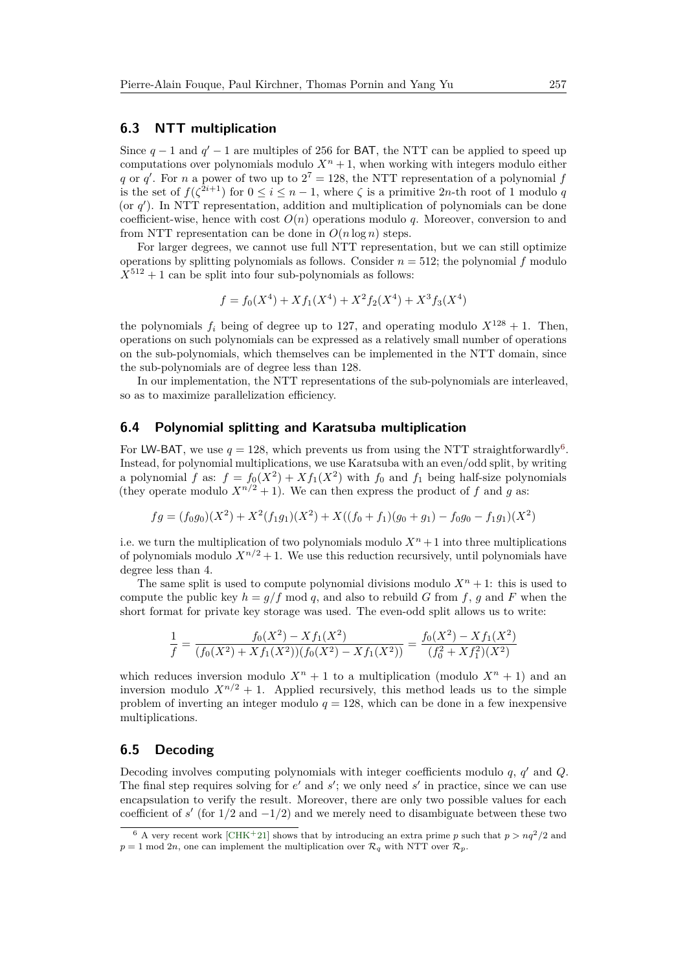### **6.3 NTT multiplication**

Since  $q-1$  and  $q'-1$  are multiples of 256 for BAT, the NTT can be applied to speed up computations over polynomials modulo  $X<sup>n</sup> + 1$ , when working with integers modulo either *q* or *q*<sup>'</sup>. For *n* a power of two up to  $2^7 = 128$ , the NTT representation of a polynomial *f* is the set of  $f(\zeta^{2i+1})$  for  $0 \leq i \leq n-1$ , where  $\zeta$  is a primitive 2*n*-th root of 1 modulo *q* (or  $q'$ ). In NTT representation, addition and multiplication of polynomials can be done coefficient-wise, hence with cost  $O(n)$  operations modulo q. Moreover, conversion to and from NTT representation can be done in  $O(n \log n)$  steps.

For larger degrees, we cannot use full NTT representation, but we can still optimize operations by splitting polynomials as follows. Consider  $n = 512$ ; the polynomial  $f$  modulo  $X^{512} + 1$  can be split into four sub-polynomials as follows:

$$
f = f_0(X^4) + X f_1(X^4) + X^2 f_2(X^4) + X^3 f_3(X^4)
$$

the polynomials  $f_i$  being of degree up to 127, and operating modulo  $X^{128} + 1$ . Then, operations on such polynomials can be expressed as a relatively small number of operations on the sub-polynomials, which themselves can be implemented in the NTT domain, since the sub-polynomials are of degree less than 128.

In our implementation, the NTT representations of the sub-polynomials are interleaved, so as to maximize parallelization efficiency.

# **6.4 Polynomial splitting and Karatsuba multiplication**

For LW-BAT, we use  $q = 128$ , which prevents us from using the NTT straightforwardly<sup>[6](#page-17-0)</sup>. Instead, for polynomial multiplications, we use Karatsuba with an even/odd split, by writing a polynomial *f* as:  $f = f_0(X^2) + Xf_1(X^2)$  with  $f_0$  and  $f_1$  being half-size polynomials (they operate modulo  $X^{n/2} + 1$ ). We can then express the product of f and g as:

$$
fg = (f_0g_0)(X^2) + X^2(f_1g_1)(X^2) + X((f_0 + f_1)(g_0 + g_1) - f_0g_0 - f_1g_1)(X^2)
$$

i.e. we turn the multiplication of two polynomials modulo  $X<sup>n</sup> + 1$  into three multiplications of polynomials modulo  $X^{n/2} + 1$ . We use this reduction recursively, until polynomials have degree less than 4.

The same split is used to compute polynomial divisions modulo  $X<sup>n</sup> + 1$ : this is used to compute the public key  $h = g/f \mod q$ , and also to rebuild *G* from *f*, *g* and *F* when the short format for private key storage was used. The even-odd split allows us to write:

$$
\frac{1}{f} = \frac{f_0(X^2) - X f_1(X^2)}{(f_0(X^2) + X f_1(X^2))(f_0(X^2) - X f_1(X^2))} = \frac{f_0(X^2) - X f_1(X^2)}{(f_0^2 + X f_1^2)(X^2)}
$$

which reduces inversion modulo  $X^n + 1$  to a multiplication (modulo  $X^n + 1$ ) and an inversion modulo  $X^{n/2} + 1$ . Applied recursively, this method leads us to the simple problem of inverting an integer modulo  $q = 128$ , which can be done in a few inexpensive multiplications.

#### **6.5 Decoding**

Decoding involves computing polynomials with integer coefficients modulo *q*, *q* <sup>0</sup> and *Q*. The final step requires solving for  $e'$  and  $s'$ ; we only need  $s'$  in practice, since we can use encapsulation to verify the result. Moreover, there are only two possible values for each coefficient of  $s'$  (for  $1/2$  and  $-1/2$ ) and we merely need to disambiguate between these two

<span id="page-17-0"></span><sup>&</sup>lt;sup>6</sup> A very recent work [\[CHK](#page-21-14)<sup>+</sup>21] shows that by introducing an extra prime *p* such that  $p > nq^2/2$  and  $p = 1$  mod 2*n*, one can implement the multiplication over  $\mathcal{R}_q$  with NTT over  $\mathcal{R}_p$ .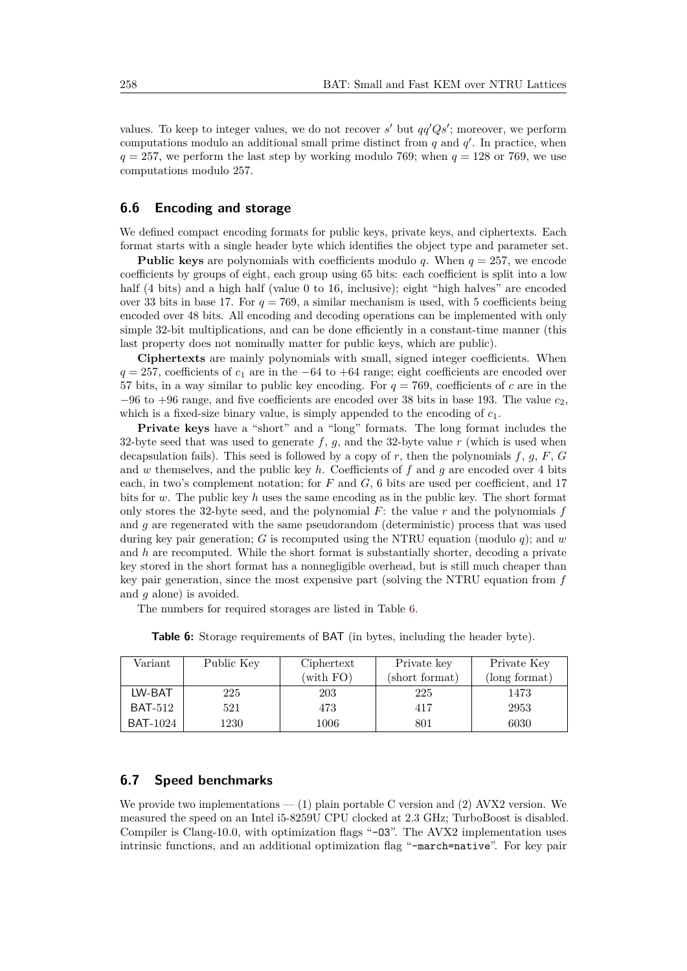values. To keep to integer values, we do not recover  $s'$  but  $qq'Qs'$ ; moreover, we perform computations modulo an additional small prime distinct from  $q$  and  $q'$ . In practice, when  $q = 257$ , we perform the last step by working modulo 769; when  $q = 128$  or 769, we use computations modulo 257.

### **6.6 Encoding and storage**

We defined compact encoding formats for public keys, private keys, and ciphertexts. Each format starts with a single header byte which identifies the object type and parameter set.

**Public keys** are polynomials with coefficients modulo *q*. When  $q = 257$ , we encode coefficients by groups of eight, each group using 65 bits: each coefficient is split into a low half (4 bits) and a high half (value 0 to 16, inclusive); eight "high halves" are encoded over 33 bits in base 17. For  $q = 769$ , a similar mechanism is used, with 5 coefficients being encoded over 48 bits. All encoding and decoding operations can be implemented with only simple 32-bit multiplications, and can be done efficiently in a constant-time manner (this last property does not nominally matter for public keys, which are public).

**Ciphertexts** are mainly polynomials with small, signed integer coefficients. When  $q = 257$ , coefficients of  $c_1$  are in the −64 to +64 range; eight coefficients are encoded over 57 bits, in a way similar to public key encoding. For  $q = 769$ , coefficients of c are in the  $-96$  to  $+96$  range, and five coefficients are encoded over 38 bits in base 193. The value  $c_2$ , which is a fixed-size binary value, is simply appended to the encoding of *c*1.

**Private keys** have a "short" and a "long" formats. The long format includes the 32-byte seed that was used to generate  $f$ ,  $g$ , and the 32-byte value  $r$  (which is used when decapsulation fails). This seed is followed by a copy of *r*, then the polynomials *f*, *g*, *F*, *G* and *w* themselves, and the public key *h*. Coefficients of *f* and *g* are encoded over 4 bits each, in two's complement notation; for *F* and *G*, 6 bits are used per coefficient, and 17 bits for *w*. The public key *h* uses the same encoding as in the public key. The short format only stores the 32-byte seed, and the polynomial *F*: the value *r* and the polynomials *f* and *g* are regenerated with the same pseudorandom (deterministic) process that was used during key pair generation; *G* is recomputed using the NTRU equation (modulo *q*); and *w* and *h* are recomputed. While the short format is substantially shorter, decoding a private key stored in the short format has a nonnegligible overhead, but is still much cheaper than key pair generation, since the most expensive part (solving the NTRU equation from *f* and *g* alone) is avoided.

The numbers for required storages are listed in Table [6.](#page-18-0)

<span id="page-18-0"></span>

| Variant         | Public Key | Ciphertext | Private key    | Private Key   |
|-----------------|------------|------------|----------------|---------------|
|                 |            | (with FO)  | (short format) | (long format) |
| LW-BAT          | 225        | 203        | 225            | 1473          |
| <b>BAT-512</b>  | 521        | 473        | 417            | 2953          |
| <b>BAT-1024</b> | 1230       | 1006       | 801            | 6030          |

**Table 6:** Storage requirements of BAT (in bytes, including the header byte).

# **6.7 Speed benchmarks**

We provide two implementations  $-$  (1) plain portable C version and (2) AVX2 version. We measured the speed on an Intel i5-8259U CPU clocked at 2.3 GHz; TurboBoost is disabled. Compiler is Clang-10.0, with optimization flags "-03". The AVX2 implementation uses intrinsic functions, and an additional optimization flag "-march=native". For key pair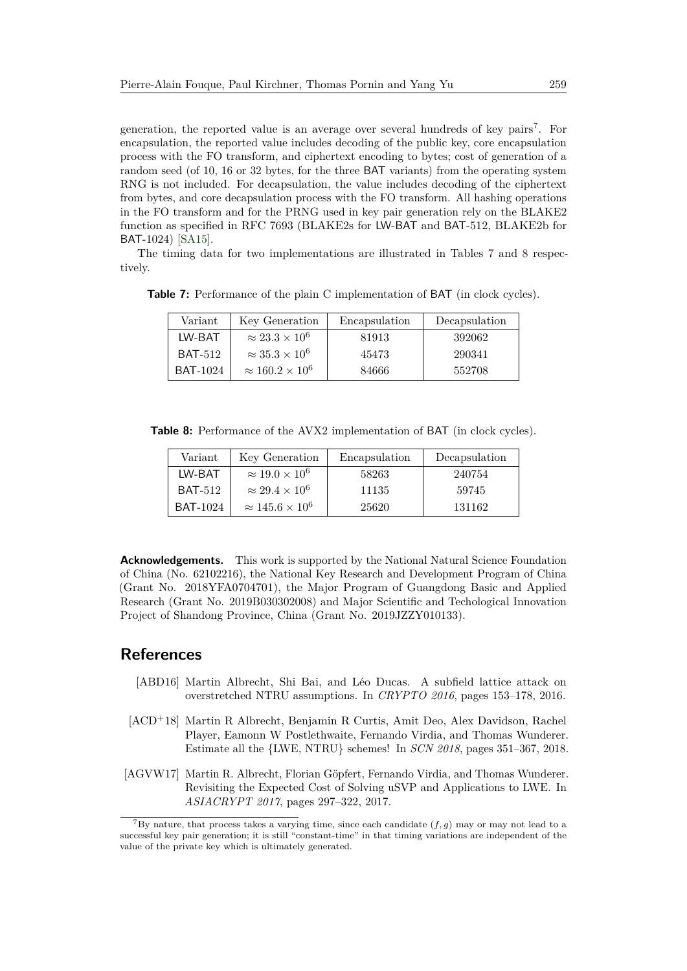generation, the reported value is an average over several hundreds of key pairs<sup>[7](#page-19-3)</sup>. For encapsulation, the reported value includes decoding of the public key, core encapsulation process with the FO transform, and ciphertext encoding to bytes; cost of generation of a random seed (of 10, 16 or 32 bytes, for the three BAT variants) from the operating system RNG is not included. For decapsulation, the value includes decoding of the ciphertext from bytes, and core decapsulation process with the FO transform. All hashing operations in the FO transform and for the PRNG used in key pair generation rely on the BLAKE2 function as specified in RFC 7693 (BLAKE2s for LW-BAT and BAT-512, BLAKE2b for BAT-1024) [\[SA15\]](#page-23-14).

The timing data for two implementations are illustrated in Tables [7](#page-19-4) and [8](#page-19-5) respectively.

<span id="page-19-4"></span>**Table 7:** Performance of the plain C implementation of BAT (in clock cycles).

| Variant         | Key Generation              | Encapsulation | Decapsulation |
|-----------------|-----------------------------|---------------|---------------|
| LW-BAT          | $\approx 23.3 \times 10^6$  | 81913         | 392062        |
| <b>BAT-512</b>  | $\approx 35.3 \times 10^6$  | 45473         | 290341        |
| <b>BAT-1024</b> | $\approx 160.2 \times 10^6$ | 84666         | 552708        |

<span id="page-19-5"></span>**Table 8:** Performance of the AVX2 implementation of BAT (in clock cycles).

| Variant         | Key Generation              | Encapsulation | Decapsulation |
|-----------------|-----------------------------|---------------|---------------|
| LW-BAT          | $\approx 19.0 \times 10^6$  | 58263         | 240754        |
| <b>BAT-512</b>  | $\approx 29.4 \times 10^6$  | 11135         | 59745         |
| <b>BAT-1024</b> | $\approx 145.6 \times 10^6$ | 25620         | 131162        |

**Acknowledgements.** This work is supported by the National Natural Science Foundation of China (No. 62102216), the National Key Research and Development Program of China (Grant No. 2018YFA0704701), the Major Program of Guangdong Basic and Applied Research (Grant No. 2019B030302008) and Major Scientific and Techological Innovation Project of Shandong Province, China (Grant No. 2019JZZY010133).

# **References**

- <span id="page-19-2"></span>[ABD16] Martin Albrecht, Shi Bai, and Léo Ducas. A subfield lattice attack on overstretched NTRU assumptions. In *CRYPTO 2016*, pages 153–178, 2016.
- <span id="page-19-0"></span>[ACD<sup>+</sup>18] Martin R Albrecht, Benjamin R Curtis, Amit Deo, Alex Davidson, Rachel Player, Eamonn W Postlethwaite, Fernando Virdia, and Thomas Wunderer. Estimate all the {LWE, NTRU} schemes! In *SCN 2018*, pages 351–367, 2018.
- <span id="page-19-1"></span>[AGVW17] Martin R. Albrecht, Florian Göpfert, Fernando Virdia, and Thomas Wunderer. Revisiting the Expected Cost of Solving uSVP and Applications to LWE. In *ASIACRYPT 2017*, pages 297–322, 2017.

<span id="page-19-3"></span><sup>&</sup>lt;sup>7</sup>By nature, that process takes a varying time, since each candidate  $(f, g)$  may or may not lead to a successful key pair generation; it is still "constant-time" in that timing variations are independent of the value of the private key which is ultimately generated.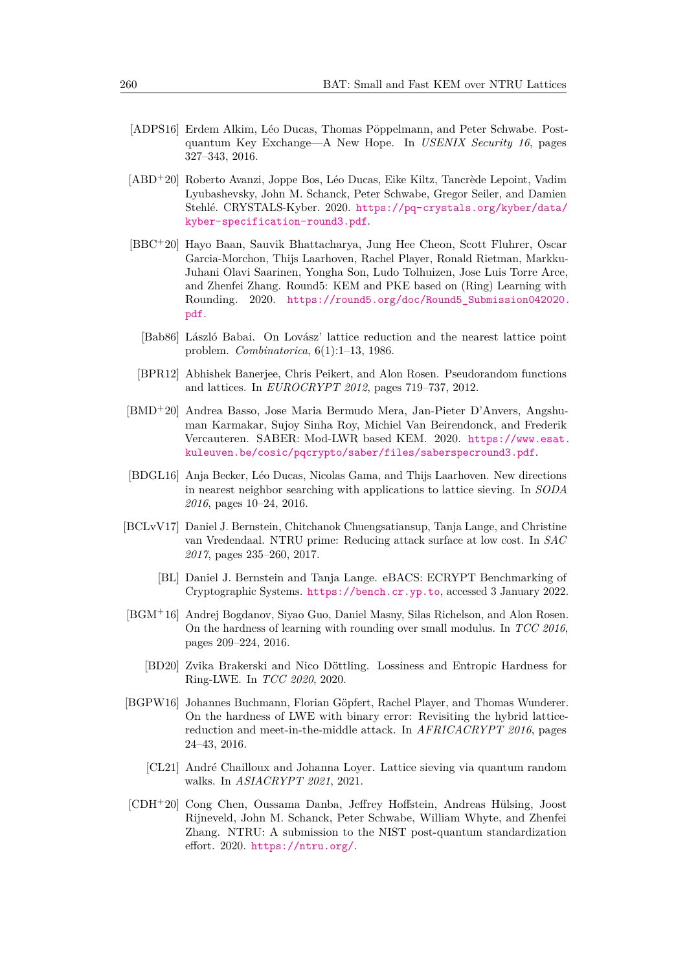- <span id="page-20-10"></span>[ADPS16] Erdem Alkim, Léo Ducas, Thomas Pöppelmann, and Peter Schwabe. Postquantum Key Exchange—A New Hope. In *USENIX Security 16*, pages 327–343, 2016.
- <span id="page-20-5"></span>[ABD<sup>+</sup>20] Roberto Avanzi, Joppe Bos, Léo Ducas, Eike Kiltz, Tancrède Lepoint, Vadim Lyubashevsky, John M. Schanck, Peter Schwabe, Gregor Seiler, and Damien Stehlé. CRYSTALS-Kyber. 2020. [https://pq-crystals.org/kyber/data/](https://pq-crystals.org/kyber/data/kyber-specification-round3.pdf) [kyber-specification-round3.pdf](https://pq-crystals.org/kyber/data/kyber-specification-round3.pdf).
- <span id="page-20-3"></span>[BBC<sup>+</sup>20] Hayo Baan, Sauvik Bhattacharya, Jung Hee Cheon, Scott Fluhrer, Oscar Garcia-Morchon, Thijs Laarhoven, Rachel Player, Ronald Rietman, Markku-Juhani Olavi Saarinen, Yongha Son, Ludo Tolhuizen, Jose Luis Torre Arce, and Zhenfei Zhang. Round5: KEM and PKE based on (Ring) Learning with Rounding. 2020. [https://round5.org/doc/Round5\\_Submission042020.](https://round5.org/doc/Round5_Submission042020.pdf) [pdf](https://round5.org/doc/Round5_Submission042020.pdf).
	- [Bab86] László Babai. On Lovász' lattice reduction and the nearest lattice point problem. *Combinatorica*, 6(1):1–13, 1986.
	- [BPR12] Abhishek Banerjee, Chris Peikert, and Alon Rosen. Pseudorandom functions and lattices. In *EUROCRYPT 2012*, pages 719–737, 2012.
- <span id="page-20-7"></span><span id="page-20-4"></span><span id="page-20-2"></span>[BMD<sup>+</sup>20] Andrea Basso, Jose Maria Bermudo Mera, Jan-Pieter D'Anvers, Angshuman Karmakar, Sujoy Sinha Roy, Michiel Van Beirendonck, and Frederik Vercauteren. SABER: Mod-LWR based KEM. 2020. [https://www.esat.](https://www.esat.kuleuven.be/cosic/pqcrypto/saber/files/saberspecround3.pdf) [kuleuven.be/cosic/pqcrypto/saber/files/saberspecround3.pdf](https://www.esat.kuleuven.be/cosic/pqcrypto/saber/files/saberspecround3.pdf).
- <span id="page-20-11"></span>[BDGL16] Anja Becker, Léo Ducas, Nicolas Gama, and Thijs Laarhoven. New directions in nearest neighbor searching with applications to lattice sieving. In *SODA 2016*, pages 10–24, 2016.
- <span id="page-20-0"></span>[BCLvV17] Daniel J. Bernstein, Chitchanok Chuengsatiansup, Tanja Lange, and Christine van Vredendaal. NTRU prime: Reducing attack surface at low cost. In *SAC 2017*, pages 235–260, 2017.
	- [BL] Daniel J. Bernstein and Tanja Lange. eBACS: ECRYPT Benchmarking of Cryptographic Systems. <https://bench.cr.yp.to>, accessed 3 January 2022.
- <span id="page-20-9"></span><span id="page-20-6"></span>[BGM<sup>+</sup>16] Andrej Bogdanov, Siyao Guo, Daniel Masny, Silas Richelson, and Alon Rosen. On the hardness of learning with rounding over small modulus. In *TCC 2016*, pages 209–224, 2016.
	- [BD20] Zvika Brakerski and Nico Döttling. Lossiness and Entropic Hardness for Ring-LWE. In *TCC 2020*, 2020.
- <span id="page-20-13"></span><span id="page-20-8"></span>[BGPW16] Johannes Buchmann, Florian Göpfert, Rachel Player, and Thomas Wunderer. On the hardness of LWE with binary error: Revisiting the hybrid latticereduction and meet-in-the-middle attack. In *AFRICACRYPT 2016*, pages 24–43, 2016.
	- [CL21] André Chailloux and Johanna Loyer. Lattice sieving via quantum random walks. In *ASIACRYPT 2021*, 2021.
- <span id="page-20-12"></span><span id="page-20-1"></span>[CDH<sup>+</sup>20] Cong Chen, Oussama Danba, Jeffrey Hoffstein, Andreas Hülsing, Joost Rijneveld, John M. Schanck, Peter Schwabe, William Whyte, and Zhenfei Zhang. NTRU: A submission to the NIST post-quantum standardization effort. 2020. <https://ntru.org/>.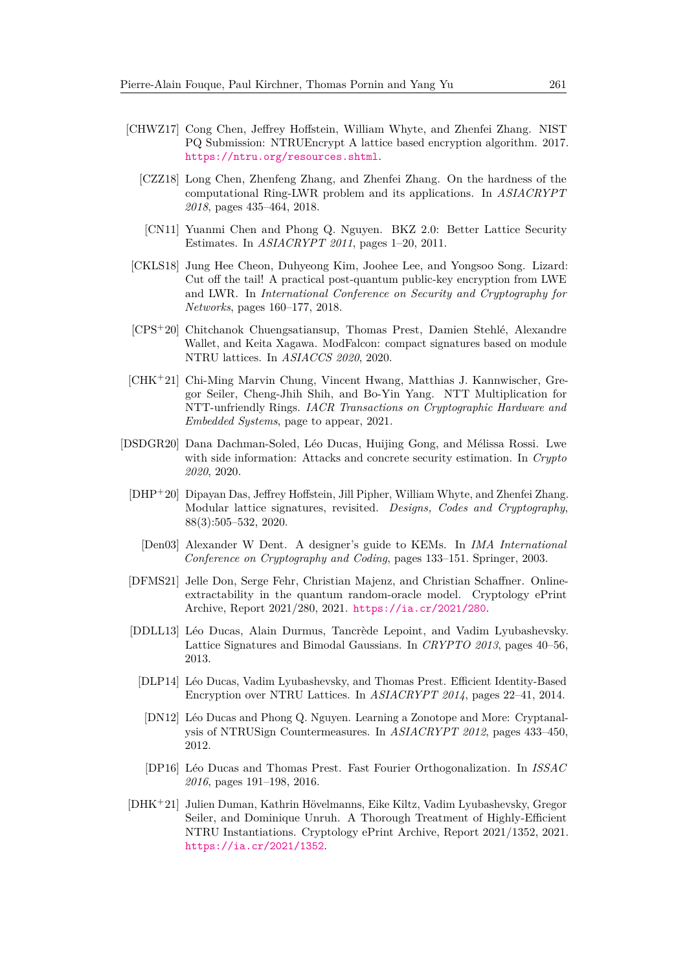- <span id="page-21-8"></span><span id="page-21-1"></span>[CHWZ17] Cong Chen, Jeffrey Hoffstein, William Whyte, and Zhenfei Zhang. NIST PQ Submission: NTRUEncrypt A lattice based encryption algorithm. 2017. <https://ntru.org/resources.shtml>.
	- [CZZ18] Long Chen, Zhenfeng Zhang, and Zhenfei Zhang. On the hardness of the computational Ring-LWR problem and its applications. In *ASIACRYPT 2018*, pages 435–464, 2018.
	- [CN11] Yuanmi Chen and Phong Q. Nguyen. BKZ 2.0: Better Lattice Security Estimates. In *ASIACRYPT 2011*, pages 1–20, 2011.
- <span id="page-21-12"></span><span id="page-21-7"></span>[CKLS18] Jung Hee Cheon, Duhyeong Kim, Joohee Lee, and Yongsoo Song. Lizard: Cut off the tail! A practical post-quantum public-key encryption from LWE and LWR. In *International Conference on Security and Cryptography for Networks*, pages 160–177, 2018.
- <span id="page-21-9"></span>[CPS<sup>+</sup>20] Chitchanok Chuengsatiansup, Thomas Prest, Damien Stehlé, Alexandre Wallet, and Keita Xagawa. ModFalcon: compact signatures based on module NTRU lattices. In *ASIACCS 2020*, 2020.
- <span id="page-21-14"></span>[CHK<sup>+</sup>21] Chi-Ming Marvin Chung, Vincent Hwang, Matthias J. Kannwischer, Gregor Seiler, Cheng-Jhih Shih, and Bo-Yin Yang. NTT Multiplication for NTT-unfriendly Rings. *IACR Transactions on Cryptographic Hardware and Embedded Systems*, page to appear, 2021.
- <span id="page-21-13"></span><span id="page-21-11"></span><span id="page-21-10"></span><span id="page-21-6"></span><span id="page-21-5"></span><span id="page-21-4"></span><span id="page-21-3"></span><span id="page-21-2"></span><span id="page-21-0"></span>[DSDGR20] Dana Dachman-Soled, Léo Ducas, Huijing Gong, and Mélissa Rossi. Lwe with side information: Attacks and concrete security estimation. In *Crypto 2020*, 2020.
	- [DHP<sup>+</sup>20] Dipayan Das, Jeffrey Hoffstein, Jill Pipher, William Whyte, and Zhenfei Zhang. Modular lattice signatures, revisited. *Designs, Codes and Cryptography*, 88(3):505–532, 2020.
		- [Den03] Alexander W Dent. A designer's guide to KEMs. In *IMA International Conference on Cryptography and Coding*, pages 133–151. Springer, 2003.
	- [DFMS21] Jelle Don, Serge Fehr, Christian Majenz, and Christian Schaffner. Onlineextractability in the quantum random-oracle model. Cryptology ePrint Archive, Report 2021/280, 2021. <https://ia.cr/2021/280>.
	- [DDLL13] Léo Ducas, Alain Durmus, Tancrède Lepoint, and Vadim Lyubashevsky. Lattice Signatures and Bimodal Gaussians. In *CRYPTO 2013*, pages 40–56, 2013.
		- [DLP14] Léo Ducas, Vadim Lyubashevsky, and Thomas Prest. Efficient Identity-Based Encryption over NTRU Lattices. In *ASIACRYPT 2014*, pages 22–41, 2014.
		- [DN12] Léo Ducas and Phong Q. Nguyen. Learning a Zonotope and More: Cryptanalysis of NTRUSign Countermeasures. In *ASIACRYPT 2012*, pages 433–450, 2012.
		- [DP16] Léo Ducas and Thomas Prest. Fast Fourier Orthogonalization. In *ISSAC 2016*, pages 191–198, 2016.
	- [DHK<sup>+</sup>21] Julien Duman, Kathrin Hövelmanns, Eike Kiltz, Vadim Lyubashevsky, Gregor Seiler, and Dominique Unruh. A Thorough Treatment of Highly-Efficient NTRU Instantiations. Cryptology ePrint Archive, Report 2021/1352, 2021. <https://ia.cr/2021/1352>.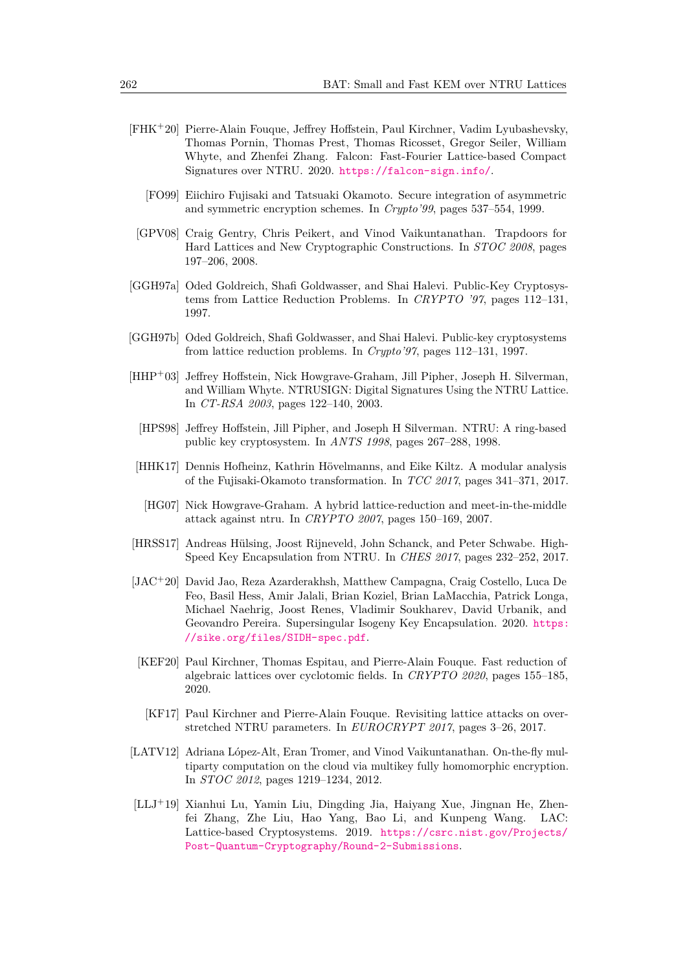- <span id="page-22-1"></span>[FHK<sup>+</sup>20] Pierre-Alain Fouque, Jeffrey Hoffstein, Paul Kirchner, Vadim Lyubashevsky, Thomas Pornin, Thomas Prest, Thomas Ricosset, Gregor Seiler, William Whyte, and Zhenfei Zhang. Falcon: Fast-Fourier Lattice-based Compact Signatures over NTRU. 2020. <https://falcon-sign.info/>.
	- [FO99] Eiichiro Fujisaki and Tatsuaki Okamoto. Secure integration of asymmetric and symmetric encryption schemes. In *Crypto'99*, pages 537–554, 1999.
- <span id="page-22-9"></span><span id="page-22-4"></span>[GPV08] Craig Gentry, Chris Peikert, and Vinod Vaikuntanathan. Trapdoors for Hard Lattices and New Cryptographic Constructions. In *STOC 2008*, pages 197–206, 2008.
- <span id="page-22-6"></span>[GGH97a] Oded Goldreich, Shafi Goldwasser, and Shai Halevi. Public-Key Cryptosystems from Lattice Reduction Problems. In *CRYPTO '97*, pages 112–131, 1997.
- <span id="page-22-7"></span>[GGH97b] Oded Goldreich, Shafi Goldwasser, and Shai Halevi. Public-key cryptosystems from lattice reduction problems. In *Crypto'97*, pages 112–131, 1997.
- <span id="page-22-3"></span>[HHP<sup>+</sup>03] Jeffrey Hoffstein, Nick Howgrave-Graham, Jill Pipher, Joseph H. Silverman, and William Whyte. NTRUSIGN: Digital Signatures Using the NTRU Lattice. In *CT-RSA 2003*, pages 122–140, 2003.
	- [HPS98] Jeffrey Hoffstein, Jill Pipher, and Joseph H Silverman. NTRU: A ring-based public key cryptosystem. In *ANTS 1998*, pages 267–288, 1998.
- <span id="page-22-12"></span><span id="page-22-11"></span><span id="page-22-0"></span>[HHK17] Dennis Hofheinz, Kathrin Hövelmanns, and Eike Kiltz. A modular analysis of the Fujisaki-Okamoto transformation. In *TCC 2017*, pages 341–371, 2017.
	- [HG07] Nick Howgrave-Graham. A hybrid lattice-reduction and meet-in-the-middle attack against ntru. In *CRYPTO 2007*, pages 150–169, 2007.
- <span id="page-22-2"></span>[HRSS17] Andreas Hülsing, Joost Rijneveld, John Schanck, and Peter Schwabe. High-Speed Key Encapsulation from NTRU. In *CHES 2017*, pages 232–252, 2017.
- <span id="page-22-8"></span>[JAC<sup>+</sup>20] David Jao, Reza Azarderakhsh, Matthew Campagna, Craig Costello, Luca De Feo, Basil Hess, Amir Jalali, Brian Koziel, Brian LaMacchia, Patrick Longa, Michael Naehrig, Joost Renes, Vladimir Soukharev, David Urbanik, and Geovandro Pereira. Supersingular Isogeny Key Encapsulation. 2020. [https:](https://sike.org/files/SIDH-spec.pdf) [//sike.org/files/SIDH-spec.pdf](https://sike.org/files/SIDH-spec.pdf).
- <span id="page-22-14"></span>[KEF20] Paul Kirchner, Thomas Espitau, and Pierre-Alain Fouque. Fast reduction of algebraic lattices over cyclotomic fields. In *CRYPTO 2020*, pages 155–185, 2020.
- <span id="page-22-13"></span>[KF17] Paul Kirchner and Pierre-Alain Fouque. Revisiting lattice attacks on overstretched NTRU parameters. In *EUROCRYPT 2017*, pages 3–26, 2017.
- <span id="page-22-10"></span>[LATV12] Adriana López-Alt, Eran Tromer, and Vinod Vaikuntanathan. On-the-fly multiparty computation on the cloud via multikey fully homomorphic encryption. In *STOC 2012*, pages 1219–1234, 2012.
- <span id="page-22-5"></span>[LLJ<sup>+</sup>19] Xianhui Lu, Yamin Liu, Dingding Jia, Haiyang Xue, Jingnan He, Zhenfei Zhang, Zhe Liu, Hao Yang, Bao Li, and Kunpeng Wang. LAC: Lattice-based Cryptosystems. 2019. [https://csrc.nist.gov/Projects/](https://csrc.nist.gov/Projects/Post-Quantum-Cryptography/Round-2-Submissions) [Post-Quantum-Cryptography/Round-2-Submissions](https://csrc.nist.gov/Projects/Post-Quantum-Cryptography/Round-2-Submissions).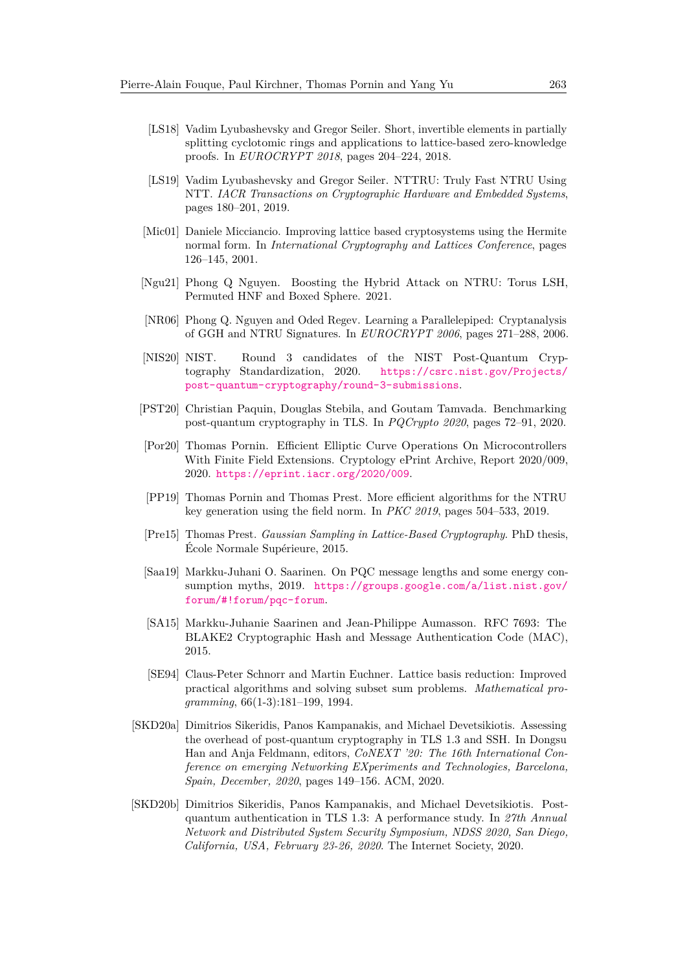- <span id="page-23-10"></span>[LS18] Vadim Lyubashevsky and Gregor Seiler. Short, invertible elements in partially splitting cyclotomic rings and applications to lattice-based zero-knowledge proofs. In *EUROCRYPT 2018*, pages 204–224, 2018.
- <span id="page-23-4"></span>[LS19] Vadim Lyubashevsky and Gregor Seiler. NTTRU: Truly Fast NTRU Using NTT. *IACR Transactions on Cryptographic Hardware and Embedded Systems*, pages 180–201, 2019.
- <span id="page-23-7"></span>[Mic01] Daniele Micciancio. Improving lattice based cryptosystems using the Hermite normal form. In *International Cryptography and Lattices Conference*, pages 126–145, 2001.
- <span id="page-23-12"></span>[Ngu21] Phong Q Nguyen. Boosting the Hybrid Attack on NTRU: Torus LSH, Permuted HNF and Boxed Sphere. 2021.
- <span id="page-23-6"></span>[NR06] Phong Q. Nguyen and Oded Regev. Learning a Parallelepiped: Cryptanalysis of GGH and NTRU Signatures. In *EUROCRYPT 2006*, pages 271–288, 2006.
- <span id="page-23-5"></span>[NIS20] NIST. Round 3 candidates of the NIST Post-Quantum Cryptography Standardization, 2020. [https://csrc.nist.gov/Projects/](https://csrc.nist.gov/Projects/post-quantum-cryptography/round-3-submissions) [post-quantum-cryptography/round-3-submissions](https://csrc.nist.gov/Projects/post-quantum-cryptography/round-3-submissions).
- <span id="page-23-0"></span>[PST20] Christian Paquin, Douglas Stebila, and Goutam Tamvada. Benchmarking post-quantum cryptography in TLS. In *PQCrypto 2020*, pages 72–91, 2020.
- <span id="page-23-13"></span>[Por20] Thomas Pornin. Efficient Elliptic Curve Operations On Microcontrollers With Finite Field Extensions. Cryptology ePrint Archive, Report 2020/009, 2020. <https://eprint.iacr.org/2020/009>.
- <span id="page-23-8"></span>[PP19] Thomas Pornin and Thomas Prest. More efficient algorithms for the NTRU key generation using the field norm. In *PKC 2019*, pages 504–533, 2019.
- <span id="page-23-9"></span>[Pre15] Thomas Prest. *Gaussian Sampling in Lattice-Based Cryptography*. PhD thesis, École Normale Supérieure, 2015.
- <span id="page-23-2"></span>[Saa19] Markku-Juhani O. Saarinen. On PQC message lengths and some energy consumption myths, 2019. [https://groups.google.com/a/list.nist.gov/](https://groups.google.com/a/list.nist.gov/forum/#!forum/pqc-forum) [forum/#!forum/pqc-forum](https://groups.google.com/a/list.nist.gov/forum/#!forum/pqc-forum).
- <span id="page-23-14"></span>[SA15] Markku-Juhanie Saarinen and Jean-Philippe Aumasson. RFC 7693: The BLAKE2 Cryptographic Hash and Message Authentication Code (MAC), 2015.
- <span id="page-23-11"></span>[SE94] Claus-Peter Schnorr and Martin Euchner. Lattice basis reduction: Improved practical algorithms and solving subset sum problems. *Mathematical programming*, 66(1-3):181–199, 1994.
- <span id="page-23-1"></span>[SKD20a] Dimitrios Sikeridis, Panos Kampanakis, and Michael Devetsikiotis. Assessing the overhead of post-quantum cryptography in TLS 1.3 and SSH. In Dongsu Han and Anja Feldmann, editors, *CoNEXT '20: The 16th International Conference on emerging Networking EXperiments and Technologies, Barcelona, Spain, December, 2020*, pages 149–156. ACM, 2020.
- <span id="page-23-3"></span>[SKD20b] Dimitrios Sikeridis, Panos Kampanakis, and Michael Devetsikiotis. Postquantum authentication in TLS 1.3: A performance study. In *27th Annual Network and Distributed System Security Symposium, NDSS 2020, San Diego, California, USA, February 23-26, 2020*. The Internet Society, 2020.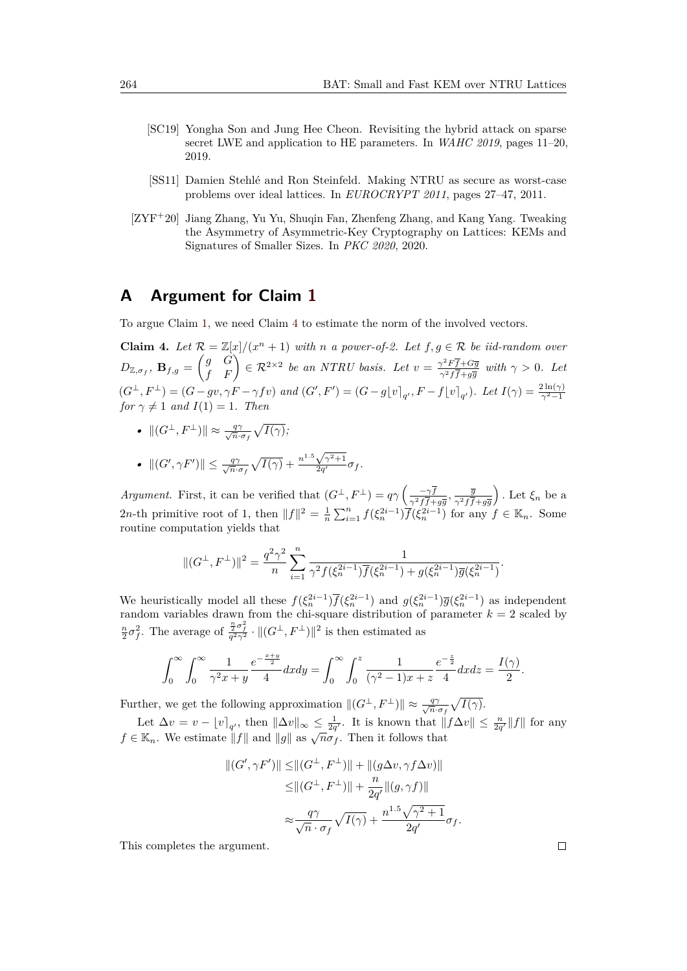- <span id="page-24-4"></span>[SC19] Yongha Son and Jung Hee Cheon. Revisiting the hybrid attack on sparse secret LWE and application to HE parameters. In *WAHC 2019*, pages 11–20, 2019.
- <span id="page-24-3"></span>[SS11] Damien Stehlé and Ron Steinfeld. Making NTRU as secure as worst-case problems over ideal lattices. In *EUROCRYPT 2011*, pages 27–47, 2011.
- <span id="page-24-0"></span>[ZYF<sup>+</sup>20] Jiang Zhang, Yu Yu, Shuqin Fan, Zhenfeng Zhang, and Kang Yang. Tweaking the Asymmetry of Asymmetric-Key Cryptography on Lattices: KEMs and Signatures of Smaller Sizes. In *PKC 2020*, 2020.

# <span id="page-24-1"></span>**A Argument for Claim [1](#page-8-0)**

To argue Claim [1,](#page-8-0) we need Claim [4](#page-24-2) to estimate the norm of the involved vectors.

<span id="page-24-2"></span>**Claim 4.** Let  $\mathcal{R} = \mathbb{Z}[x]/(x^n + 1)$  with *n a* power-of-2. Let  $f, g \in \mathcal{R}$  be iid-random over  $D_{\mathbb{Z}, \sigma_f}$ ,  $\mathbf{B}_{f,g} = \begin{pmatrix} g & G \ f & F \end{pmatrix} \in \mathcal{R}^{2 \times 2}$  *be an NTRU basis. Let*  $v = \frac{\gamma^2 F \overline{f} + G \overline{g}}{\gamma^2 f \overline{f} + g \overline{g}}$  $\frac{\gamma^2 F f + Gg}{\gamma^2 f \overline{f} + g \overline{g}}$  with  $\gamma > 0$ . Let  $(G^{\perp}, F^{\perp}) = (G - gv, \gamma F - \gamma f v)$  and  $(G', F') = (G - g[v]_{q'}, F - f[v]_{q'})$ . Let  $I(\gamma) = \frac{2 \ln(\gamma)}{\gamma^2 - 1}$ *for*  $\gamma \neq 1$  *and*  $I(1) = 1$ *. Then* 

- $\|(G^{\perp}, F^{\perp})\| \approx \frac{q\gamma}{\sqrt{n}}$  $\frac{q\gamma}{\overline{n}\cdot\sigma_f}\sqrt{I(\gamma)}$ *;*
- $||(G', \gamma F')|| \leq \frac{q\gamma}{\sqrt{n}}$  $\frac{q\gamma}{\overline{n}\cdot\sigma_f}\sqrt{I(\gamma)}+\frac{n}{2}$  $1.5\sqrt{\gamma^2+1}$  $\frac{\nabla \gamma + 1}{2q'} \sigma_f$ .

*Argument.* First, it can be verified that  $(G^{\perp}, F^{\perp}) = q\gamma \left( \frac{-\gamma \bar{f}}{2 \sqrt{f}} \right)$  $\frac{-\gamma f}{\gamma^2 f \overline{f} + g \overline{g}}$ ,  $\frac{\overline{g}}{\gamma^2 f \overline{f}}$ *γ*2*ff*+*gg* ). Let  $\xi_n$  be a 2*n*-th primitive root of 1, then  $||f||^2 = \frac{1}{n} \sum_{i=1}^n f(\xi_n^{2i-1}) \overline{f}(\xi_n^{2i-1})$  for any  $f \in \mathbb{K}_n$ . Some routine computation yields that

$$
||(G^{\perp},F^{\perp})||^{2} = \frac{q^{2}\gamma^{2}}{n} \sum_{i=1}^{n} \frac{1}{\gamma^{2}f(\xi_{n}^{2i-1})\overline{f}(\xi_{n}^{2i-1}) + g(\xi_{n}^{2i-1})\overline{g}(\xi_{n}^{2i-1})}.
$$

We heuristically model all these  $f(\xi_n^{2i-1})\overline{f}(\xi_n^{2i-1})$  and  $g(\xi_n^{2i-1})\overline{g}(\xi_n^{2i-1})$  as independent random variables drawn from the chi-square distribution of parameter  $k = 2$  scaled by  $\frac{n}{2}\sigma_f^2$ . The average of  $\frac{\frac{n}{2}\sigma_f^2}{q^2\gamma^2} \cdot ||(G^{\perp}, F^{\perp})||^2$  is then estimated as

$$
\int_0^\infty \int_0^\infty \frac{1}{\gamma^2 x + y} \frac{e^{-\frac{x+y}{2}}}{4} dx dy = \int_0^\infty \int_0^z \frac{1}{(\gamma^2 - 1)x + z} \frac{e^{-\frac{z}{2}}}{4} dx dz = \frac{I(\gamma)}{2}.
$$

Further, we get the following approximation  $\|(G^{\perp}, F^{\perp})\| \approx \frac{q\gamma}{\sqrt{n}}$  $\frac{q\gamma}{\overline{n}\cdot\sigma_f}\sqrt{I(\gamma)}.$ 

Let  $\Delta v = v - [v]_{q'}$ , then  $\|\Delta v\|_{\infty} \le \frac{1}{2q'}$ . It is known that  $||f\Delta v|| \le \frac{n}{2q'}||f||$  for any  $f \in \mathbb{K}_n$ . We estimate  $||f||$  and  $||g||$  as  $\sqrt{n}\sigma_f$ . Then it follows that

$$
||(G', \gamma F')|| \leq ||(G^{\perp}, F^{\perp})|| + ||(g\Delta v, \gamma f \Delta v)||
$$
  
\n
$$
\leq ||(G^{\perp}, F^{\perp})|| + \frac{n}{2q'} ||(g, \gamma f)||
$$
  
\n
$$
\approx \frac{q\gamma}{\sqrt{n} \cdot \sigma_f} \sqrt{I(\gamma)} + \frac{n^{1.5}\sqrt{\gamma^2 + 1}}{2q'} \sigma_f.
$$

This completes the argument.